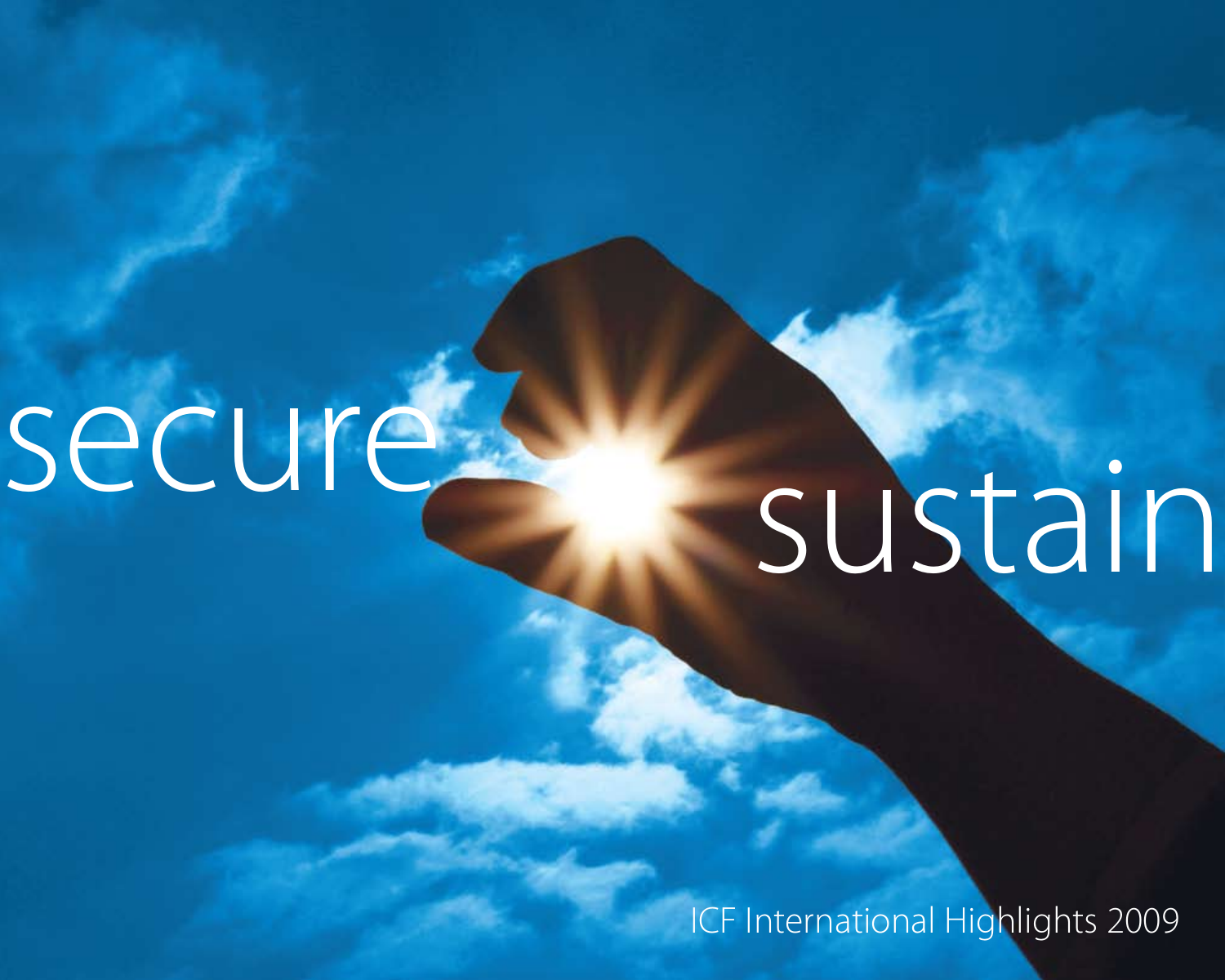# secure sustain

ICF International Highlights 2009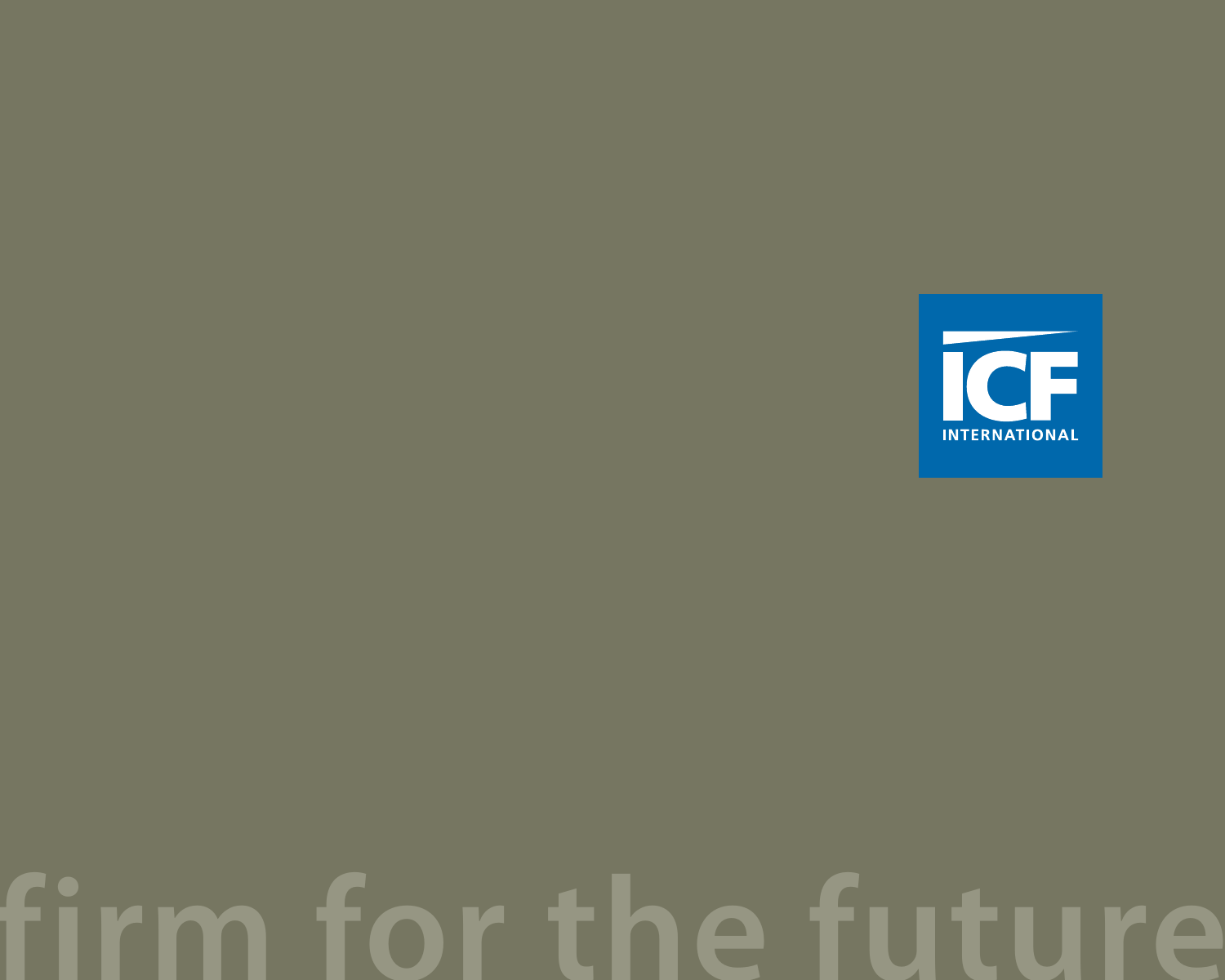

# **firm for the future**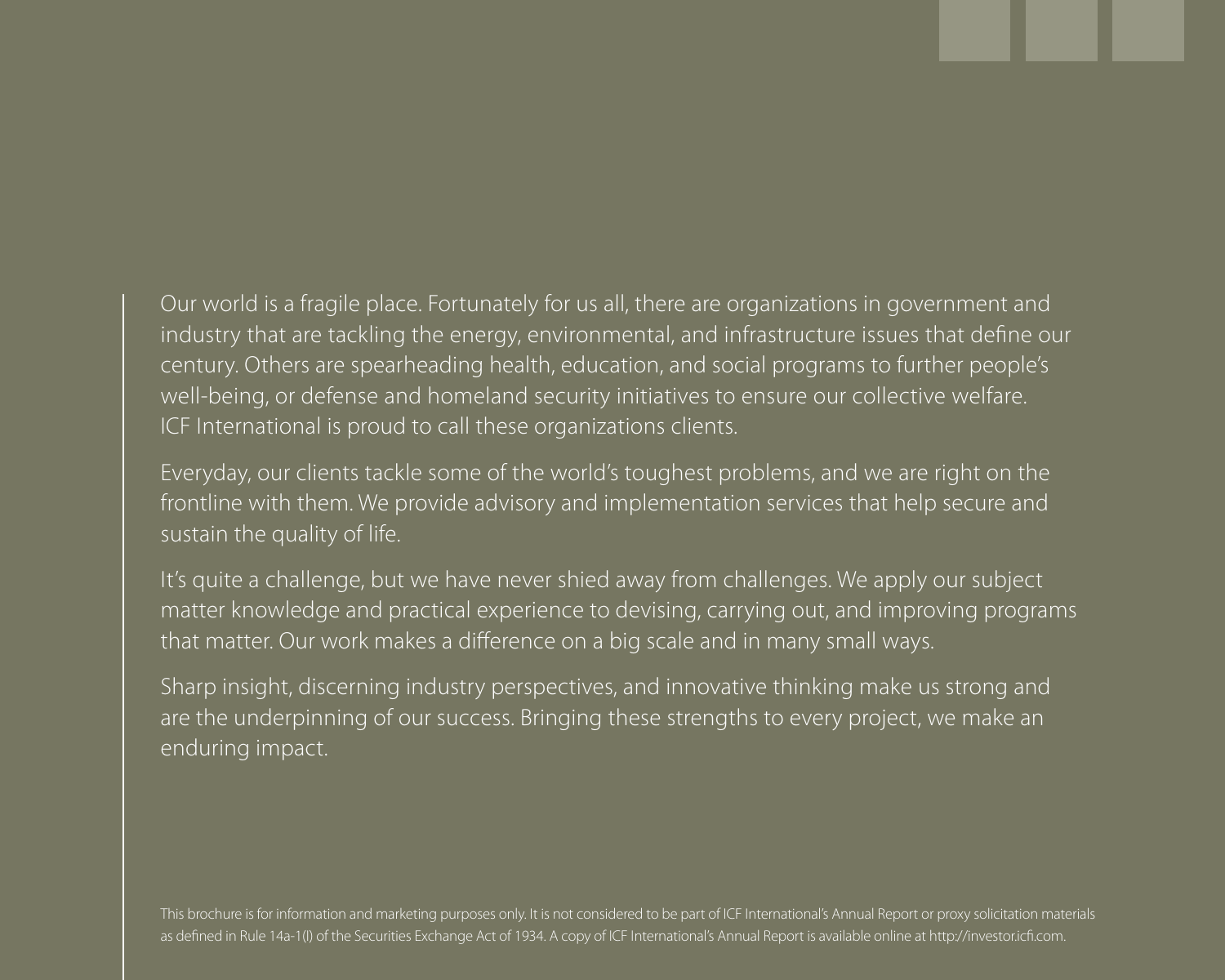Our world is a fragile place. Fortunately for us all, there are organizations in government and industry that are tackling the energy, environmental, and infrastructure issues that define our century. Others are spearheading health, education, and social programs to further people's well-being, or defense and homeland security initiatives to ensure our collective welfare. ICF International is proud to call these organizations clients.

Everyday, our clients tackle some of the world's toughest problems, and we are right on the frontline with them. We provide advisory and implementation services that help secure and sustain the quality of life.

It's quite a challenge, but we have never shied away from challenges. We apply our subject matter knowledge and practical experience to devising, carrying out, and improving programs that matter. Our work makes a difference on a big scale and in many small ways.

Sharp insight, discerning industry perspectives, and innovative thinking make us strong and are the underpinning of our success. Bringing these strengths to every project, we make an enduring impact.

This brochure is for information and marketing purposes only. It is not considered to be part of ICF International's Annual Report or proxy solicitation materials as defined in Rule 14a-1(I) of the Securities Exchange Act of 1934. A copy of ICF International's Annual Report or proxy solicitation mat<br>In as defined in Rule 14a-1(I) of the Securities Exchange Act of 1934. A copy of ICF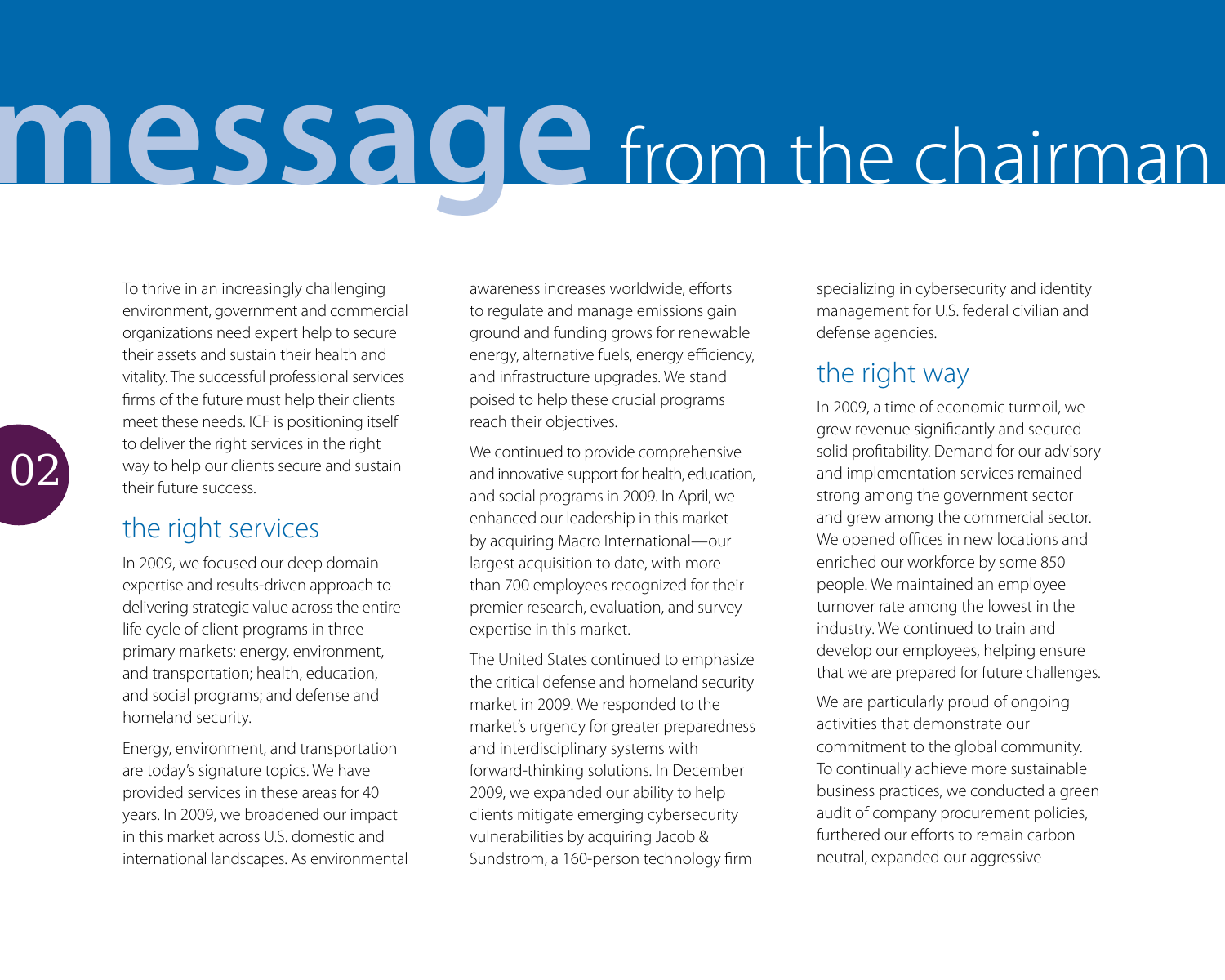# **message** from the chairman

To thrive in an increasingly challenging environment, government and commercial organizations need expert help to secure their assets and sustain their health and vitality. The successful professional services firms of the future must help their clients meet these needs. ICF is positioning itself to deliver the right services in the right way to help our clients secure and sustain their future success.

#### the right services

In 2009, we focused our deep domain expertise and results-driven approach to delivering strategic value across the entire life cycle of client programs in three primary markets: energy, environment, and transportation; health, education, and social programs; and defense and homeland security.

Energy, environment, and transportation are today's signature topics. We have provided services in these areas for 40 years. In 2009, we broadened our impact in this market across U.S. domestic and international landscapes. As environmental

awareness increases worldwide, efforts to regulate and manage emissions gain ground and funding grows for renewable energy, alternative fuels, energy efficiency, and infrastructure upgrades. We stand poised to help these crucial programs reach their objectives.

We continued to provide comprehensive and innovative support for health, education, and social programs in 2009. In April, we enhanced our leadership in this market by acquiring Macro International—our largest acquisition to date, with more than 700 employees recognized for their premier research, evaluation, and survey expertise in this market.

The United States continued to emphasize the critical defense and homeland security market in 2009. We responded to the market's urgency for greater preparedness and interdisciplinary systems with forward-thinking solutions. In December 2009, we expanded our ability to help clients mitigate emerging cybersecurity vulnerabilities by acquiring Jacob & Sundstrom, a 160-person technology firm specializing in cybersecurity and identity management for U.S. federal civilian and defense agencies.

#### the right way

In 2009, a time of economic turmoil, we grew revenue significantly and secured solid profitability. Demand for our advisory and implementation services remained strong among the government sector and grew among the commercial sector. We opened offices in new locations and enriched our workforce by some 850 people. We maintained an employee turnover rate among the lowest in the industry. We continued to train and develop our employees, helping ensure that we are prepared for future challenges.

We are particularly proud of ongoing activities that demonstrate our commitment to the global community. To continually achieve more sustainable business practices, we conducted a green audit of company procurement policies, furthered our efforts to remain carbon neutral, expanded our aggressive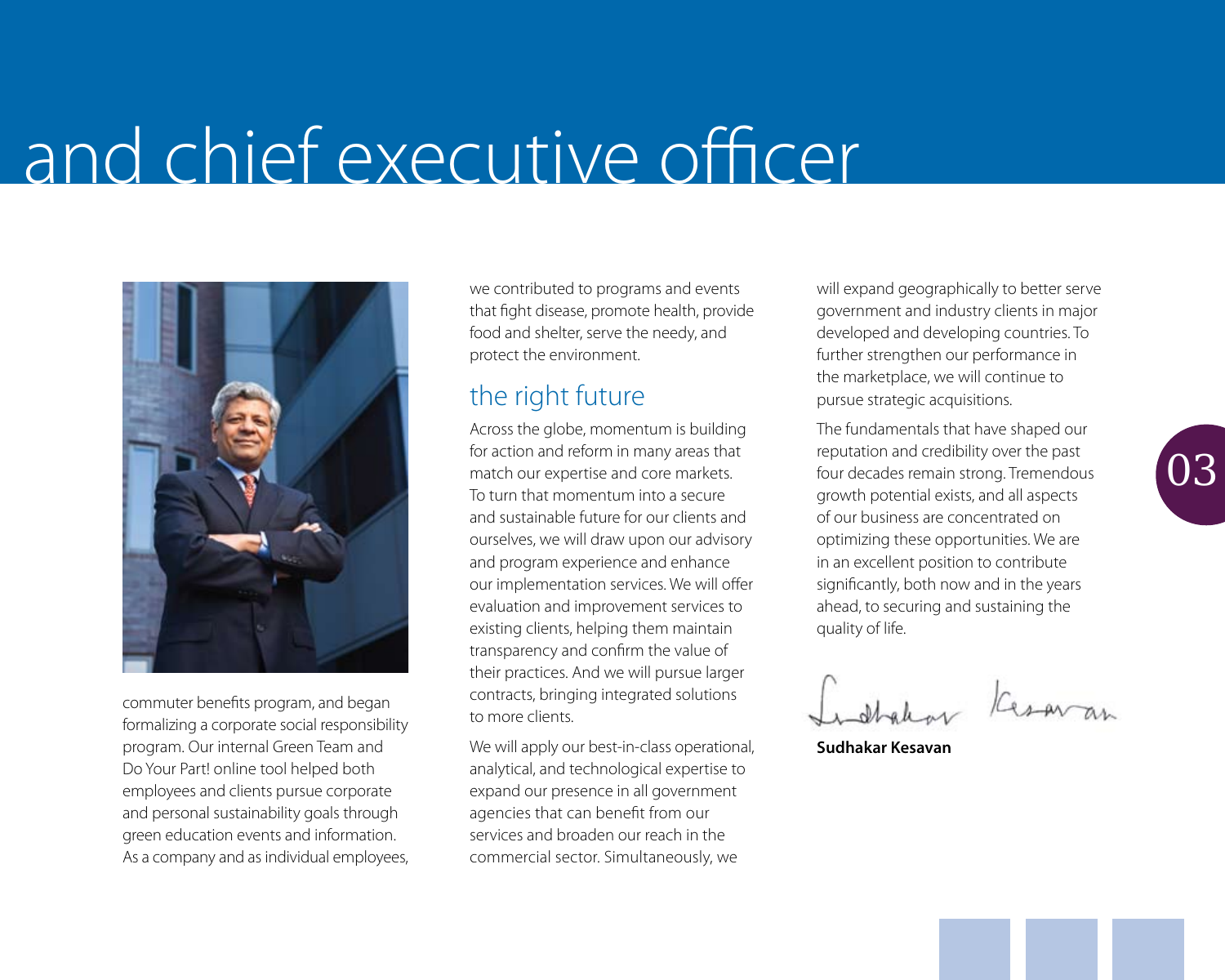## and chief executive officer



commuter benefits program, and began formalizing a corporate social responsibility program. Our internal Green Team and Do Your Part! online tool helped both employees and clients pursue corporate and personal sustainability goals through green education events and information. As a company and as individual employees,

we contributed to programs and events that fight disease, promote health, provide food and shelter, serve the needy, and protect the environment.

#### the right future

Across the globe, momentum is building for action and reform in many areas that match our expertise and core markets. To turn that momentum into a secure and sustainable future for our clients and ourselves, we will draw upon our advisory and program experience and enhance our implementation services. We will offer evaluation and improvement services to existing clients, helping them maintain transparency and confirm the value of their practices. And we will pursue larger contracts, bringing integrated solutions to more clients.

We will apply our best-in-class operational, analytical, and technological expertise to expand our presence in all government agencies that can benefit from our services and broaden our reach in the commercial sector. Simultaneously, we

will expand geographically to better serve government and industry clients in major developed and developing countries. To further strengthen our performance in the marketplace, we will continue to pursue strategic acquisitions.

The fundamentals that have shaped our reputation and credibility over the past four decades remain strong. Tremendous growth potential exists, and all aspects of our business are concentrated on optimizing these opportunities. We are in an excellent position to contribute significantly, both now and in the years ahead, to securing and sustaining the quality of life.

Kesaran

**Sudhakar Kesavan**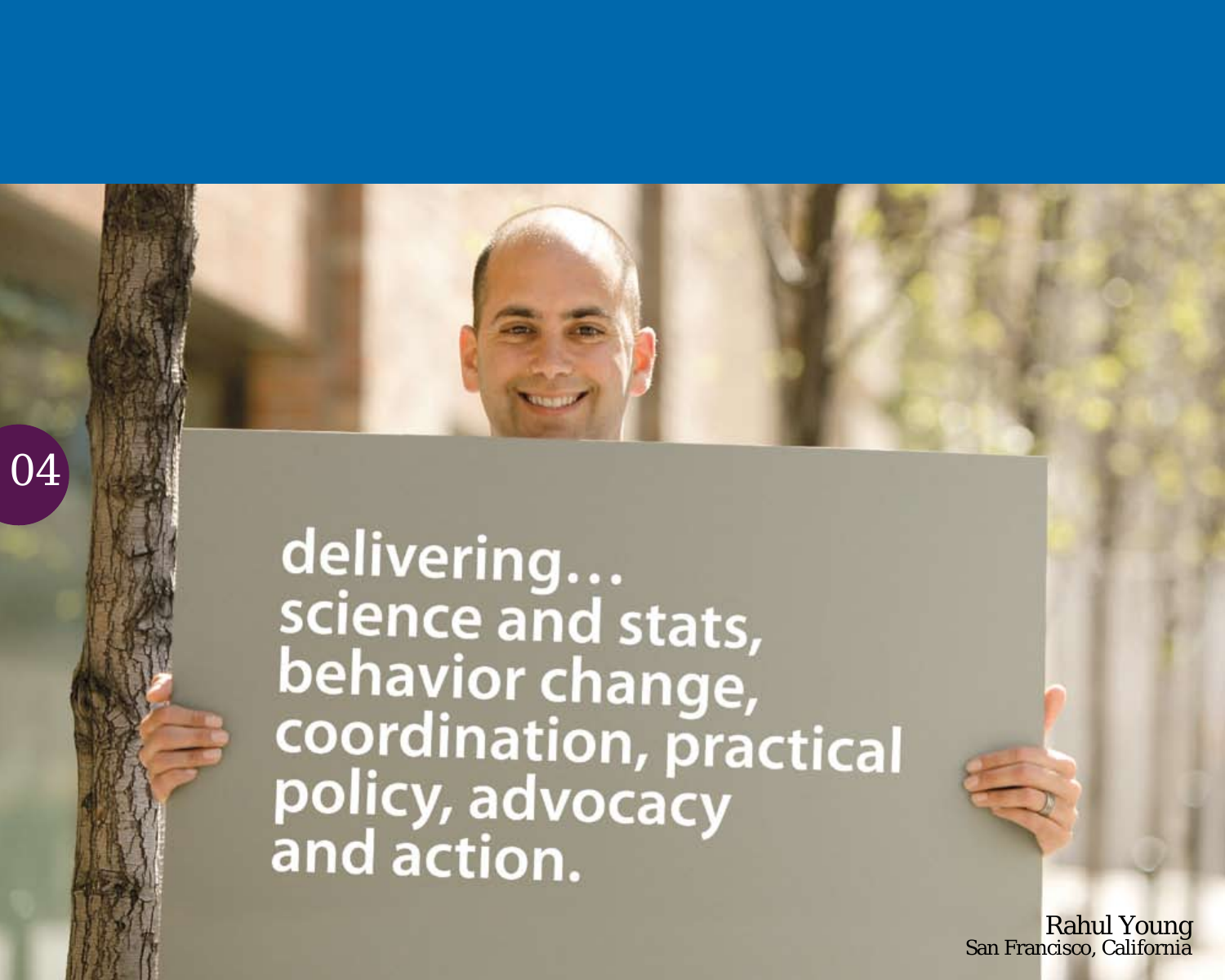04

delivering...<br>science and stats, behavior change,<br>coordination, practical policy, advocacy<br>and action.

Rahul Young San Francisco, California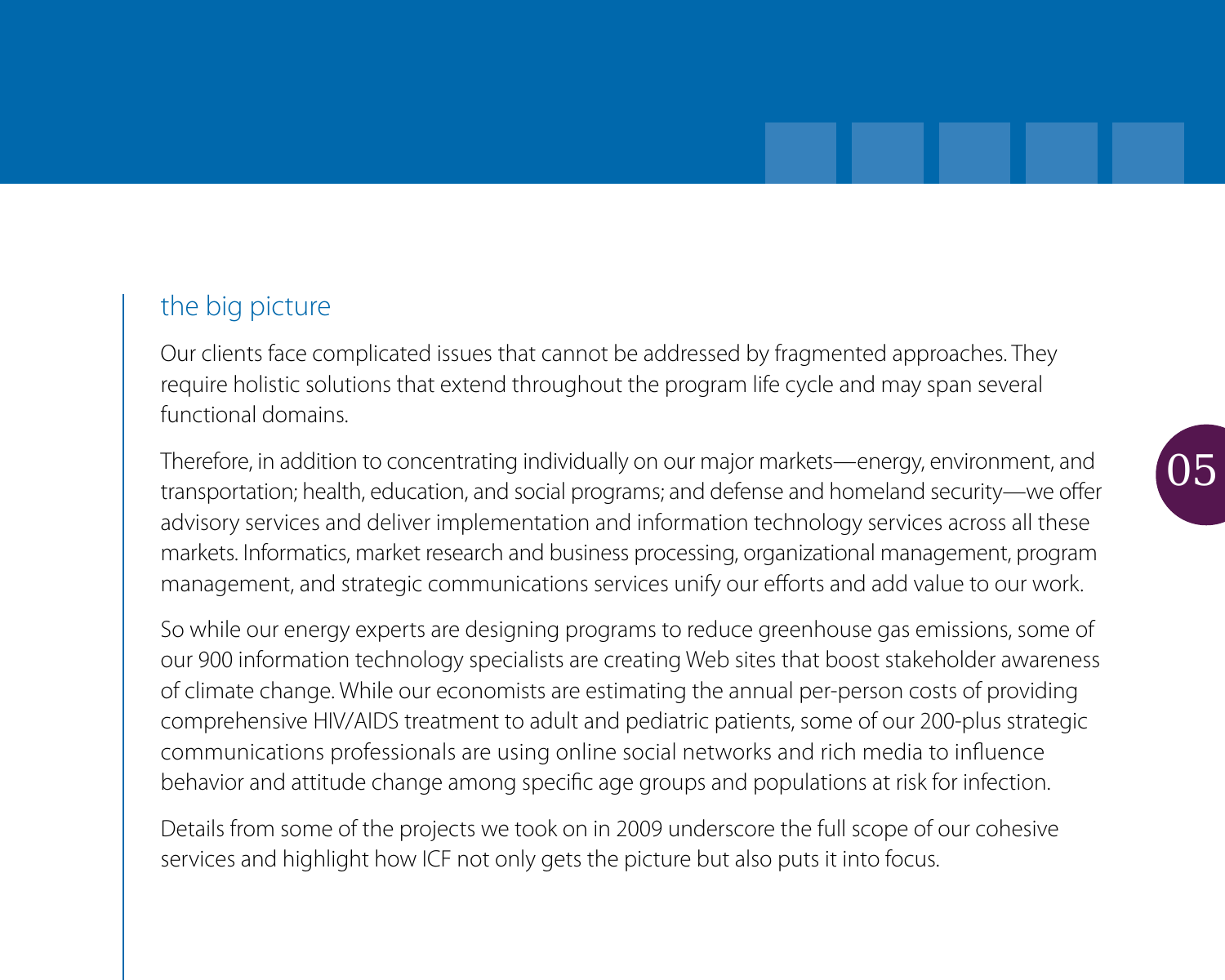#### the big picture

Our clients face complicated issues that cannot be addressed by fragmented approaches. They require holistic solutions that extend throughout the program life cycle and may span several functional domains.

Therefore, in addition to concentrating individually on our major markets—energy, environment, and transportation; health, education, and social programs; and defense and homeland security—we offer advisory services and deliver implementation and information technology services across all these markets. Informatics, market research and business processing, organizational management, program management, and strategic communications services unify our efforts and add value to our work.

So while our energy experts are designing programs to reduce greenhouse gas emissions, some of our 900 information technology specialists are creating Web sites that boost stakeholder awareness of climate change. While our economists are estimating the annual per-person costs of providing comprehensive HIV/AIDS treatment to adult and pediatric patients, some of our 200-plus strategic communications professionals are using online social networks and rich media to influence behavior and attitude change among specific age groups and populations at risk for infection.

Details from some of the projects we took on in 2009 underscore the full scope of our cohesive services and highlight how ICF not only gets the picture but also puts it into focus.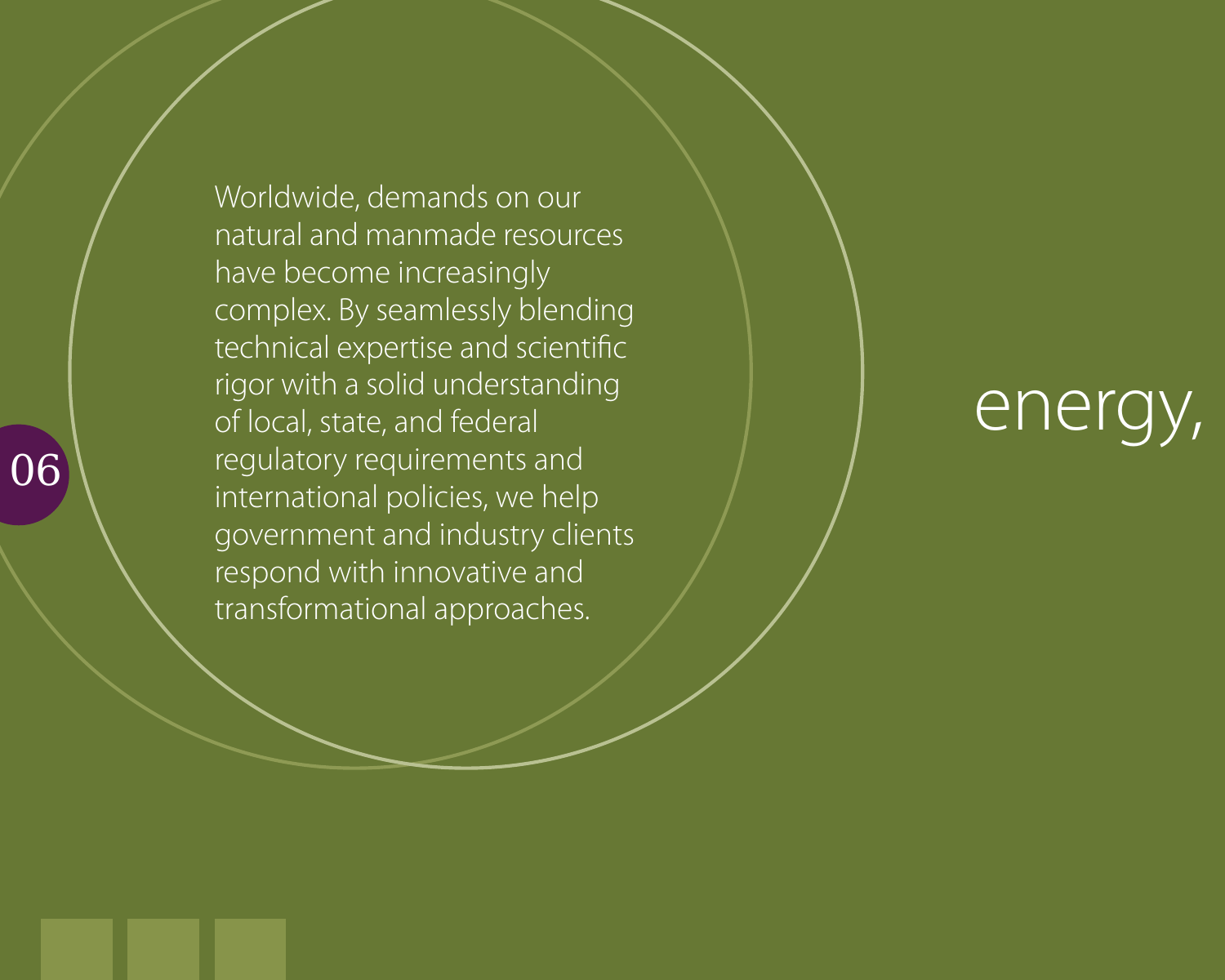Worldwide, demands on our natural and manmade resources have become increasingly complex. By seamlessly blending technical expertise and scientific rigor with a solid understanding of local, state, and federal regulatory requirements and international policies, we help government and industry clients respond with innovative and transformational approaches.

### energy,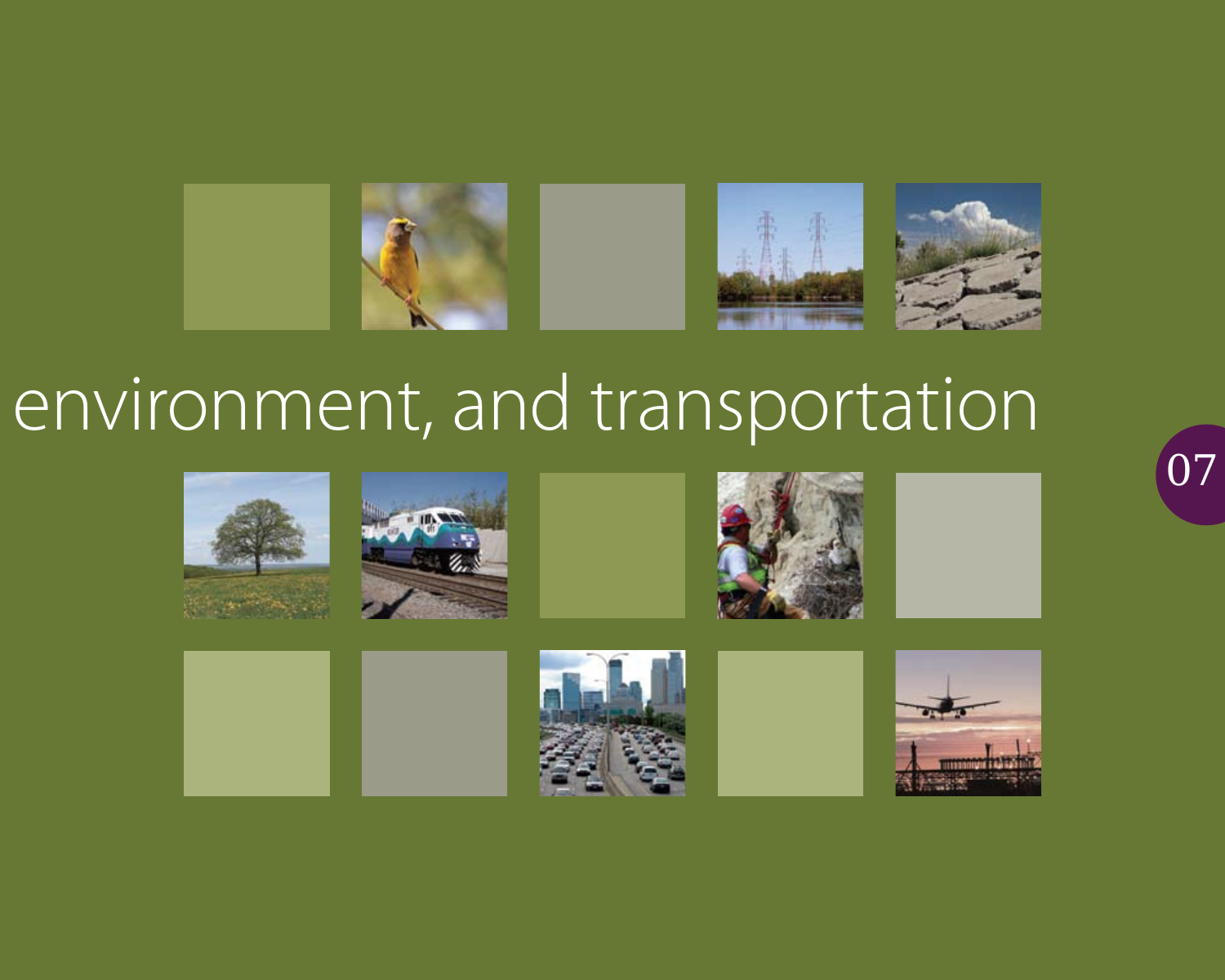

## environment, and transportation



07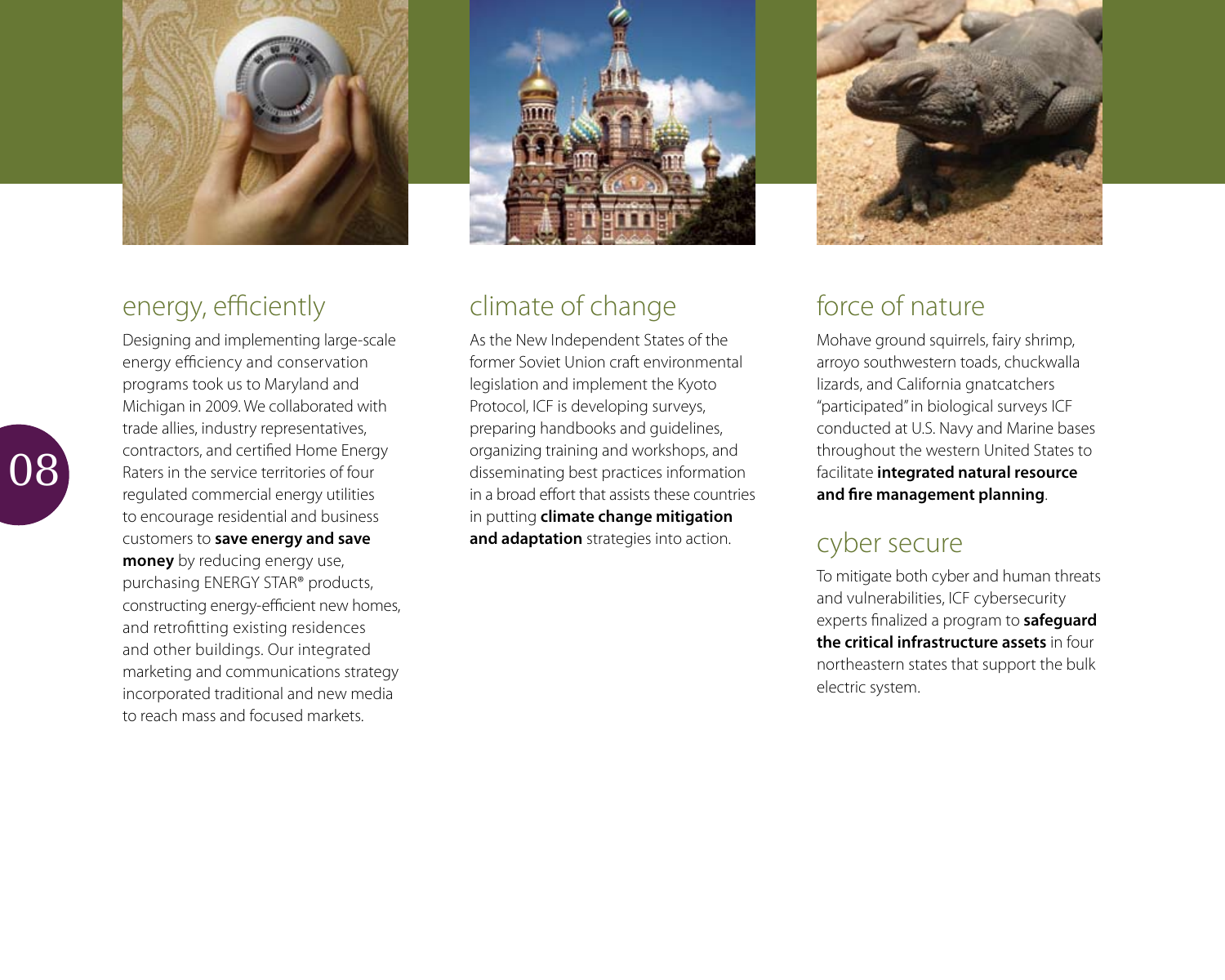

#### energy, efficiently

Designing and implementing large-scale energy efficiency and conservation programs took us to Maryland and Michigan in 2009. We collaborated with trade allies, industry representatives, contractors, and certified Home Energy Raters in the service territories of four regulated commercial energy utilities to encourage residential and business customers to **save energy and save money** by reducing energy use, purchasing ENERGY STAR® products, constructing energy-efficient new homes, and retrofitting existing residences and other buildings. Our integrated marketing and communications strategy incorporated traditional and new media to reach mass and focused markets.



#### climate of change

As the New Independent States of the former Soviet Union craft environmental legislation and implement the Kyoto Protocol, ICF is developing surveys, preparing handbooks and guidelines, organizing training and workshops, and disseminating best practices information in a broad effort that assists these countries in putting **climate change mitigation and adaptation** strategies into action.



#### force of nature

Mohave ground squirrels, fairy shrimp, arroyo southwestern toads, chuckwalla lizards, and California gnatcatchers "participated" in biological surveys ICF conducted at U.S. Navy and Marine bases throughout the western United States to facilitate **integrated natural resource and fire management planning**.

#### cyber secure

To mitigate both cyber and human threats and vulnerabilities, ICF cybersecurity experts finalized a program to **safeguard the critical infrastructure assets** in four northeastern states that support the bulk electric system.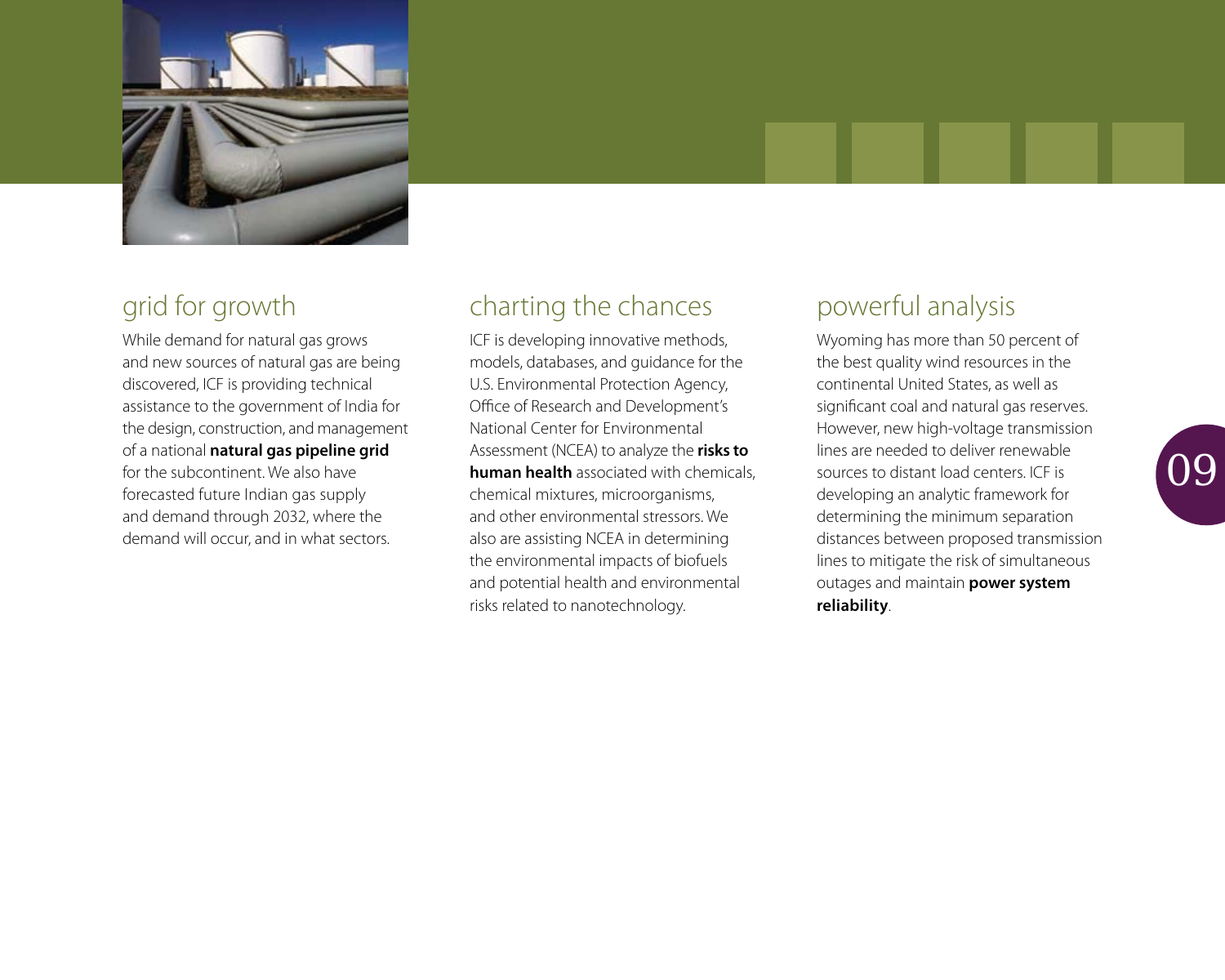

#### grid for growth

While demand for natural gas grows and new sources of natural gas are being discovered, ICF is providing technical assistance to the government of India for the design, construction, and management of a national **natural gas pipeline grid** for the subcontinent. We also have forecasted future Indian gas supply and demand through 2032, where the demand will occur, and in what sectors.

#### charting the chances

ICF is developing innovative methods, models, databases, and guidance for the U.S. Environmental Protection Agency, Office of Research and Development's National Center for Environmental Assessment (NCEA) to analyze the **risks to human health** associated with chemicals, chemical mixtures, microorganisms, and other environmental stressors. We also are assisting NCEA in determining the environmental impacts of biofuels and potential health and environmental risks related to nanotechnology.

#### powerful analysis

Wyoming has more than 50 percent of the best quality wind resources in the continental United States, as well as significant coal and natural gas reserves. However, new high-voltage transmission lines are needed to deliver renewable sources to distant load centers. ICF is developing an analytic framework for determining the minimum separation distances between proposed transmission lines to mitigate the risk of simultaneous outages and maintain **power system reliability**.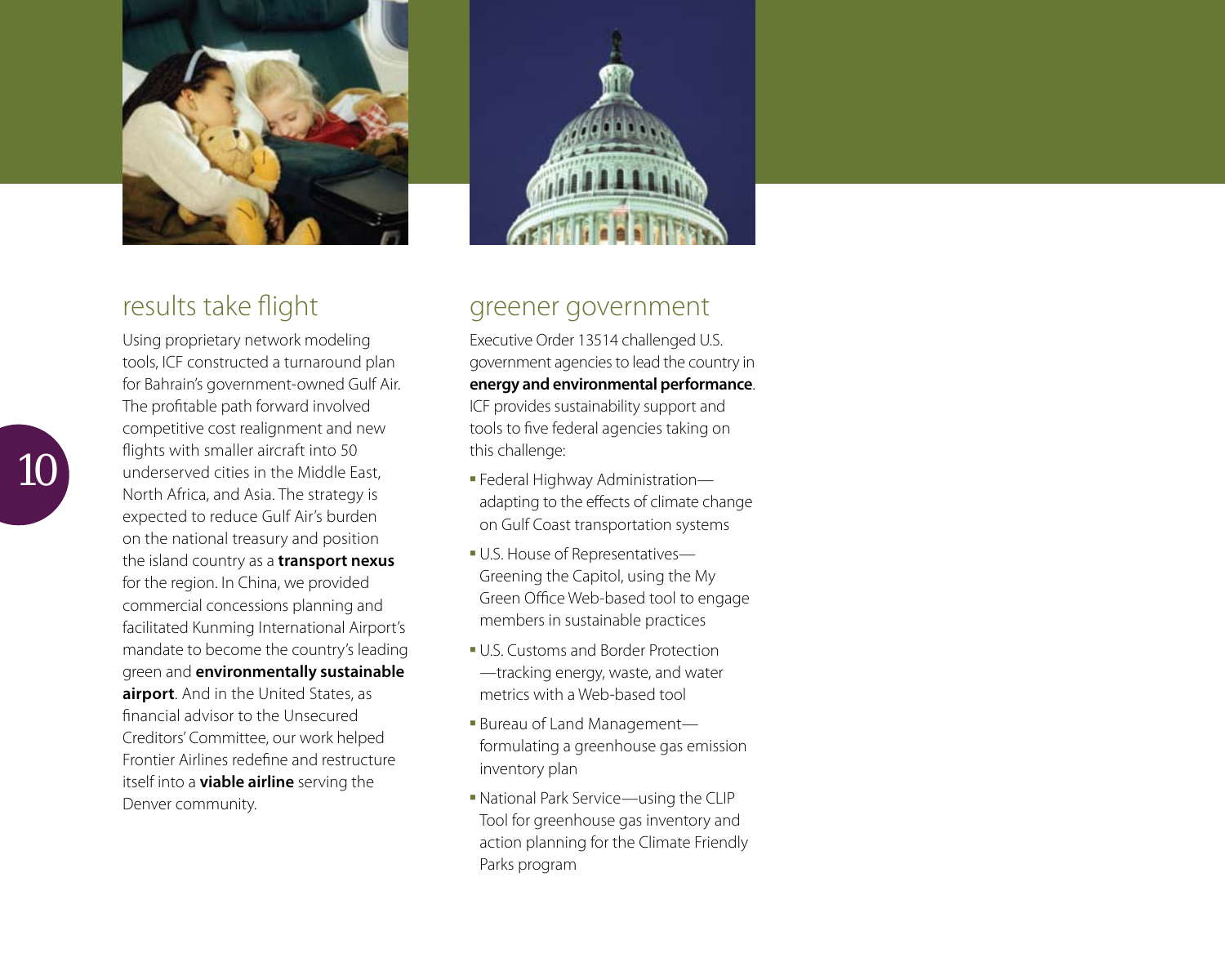

#### results take flight

Using proprietary network modeling tools, ICF constructed a turnaround plan for Bahrain's government-owned Gulf Air. The profitable path forward involved competitive cost realignment and new flights with smaller aircraft into 50 underserved cities in the Middle East, North Africa, and Asia. The strategy is expected to reduce Gulf Air's burden on the national treasury and position the island country as a **transport nexus** for the region. In China, we provided commercial concessions planning and facilitated Kunming International Airport's mandate to become the country's leading green and **environmentally sustainable airport**. And in the United States, as financial advisor to the Unsecured Creditors' Committee, our work helped Frontier Airlines redefine and restructure itself into a **viable airline** serving the Denver community.



#### greener government

Executive Order 13514 challenged U.S. government agencies to lead the country in **energy and environmental performance**. ICF provides sustainability support and tools to five federal agencies taking on this challenge:

- **Federal Highway Administration** adapting to the effects of climate change on Gulf Coast transportation systems
- **U.S. House of Representatives—** Greening the Capitol, using the My Green Office Web-based tool to engage members in sustainable practices
- **I.U.S. Customs and Border Protection** —tracking energy, waste, and water metrics with a Web-based tool
- **Bureau of Land Management** formulating a greenhouse gas emission inventory plan
- National Park Service—using the CLIP Tool for greenhouse gas inventory and action planning for the Climate Friendly Parks program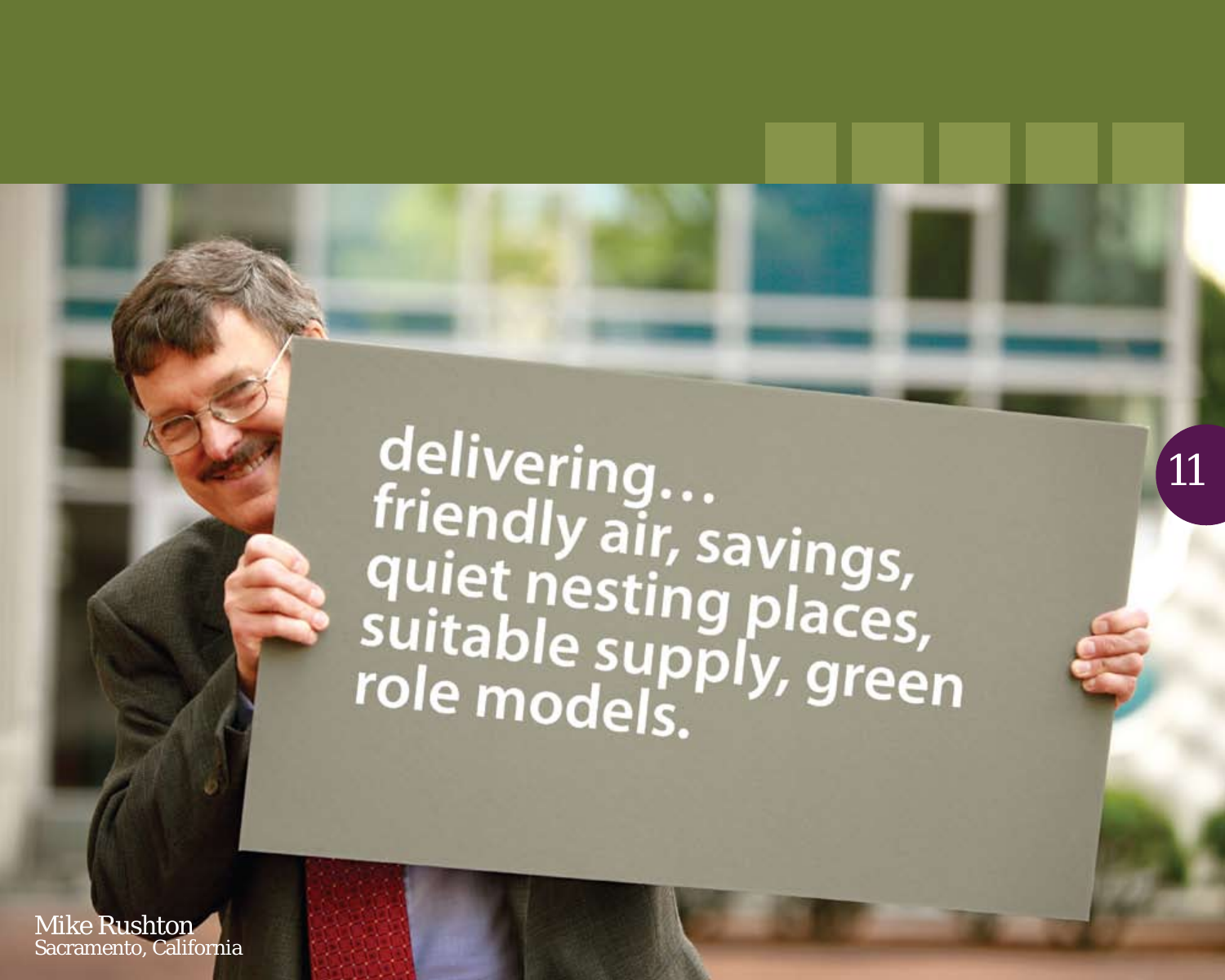# delivering...<br>friendly air, savings,<br>quiet nesting places,<br>suitable supply, green<br>role models.

11

Mike Rushton Sacramento, California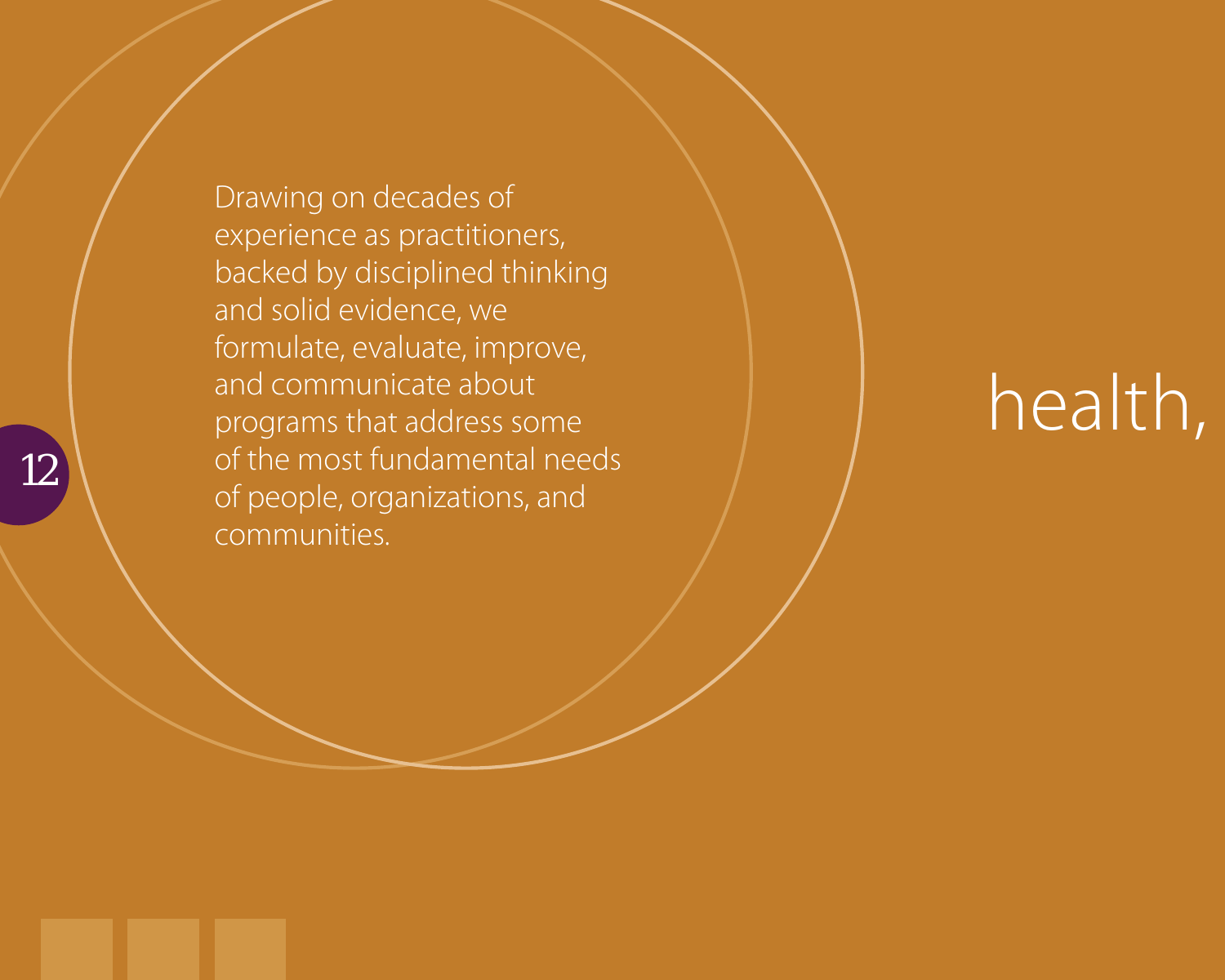Drawing on decades of experience as practitioners, backed by disciplined thinking and solid evidence, we formulate, evaluate, improve, and communicate about programs that address some of the most fundamental needs of people, organizations, and communities.

# health,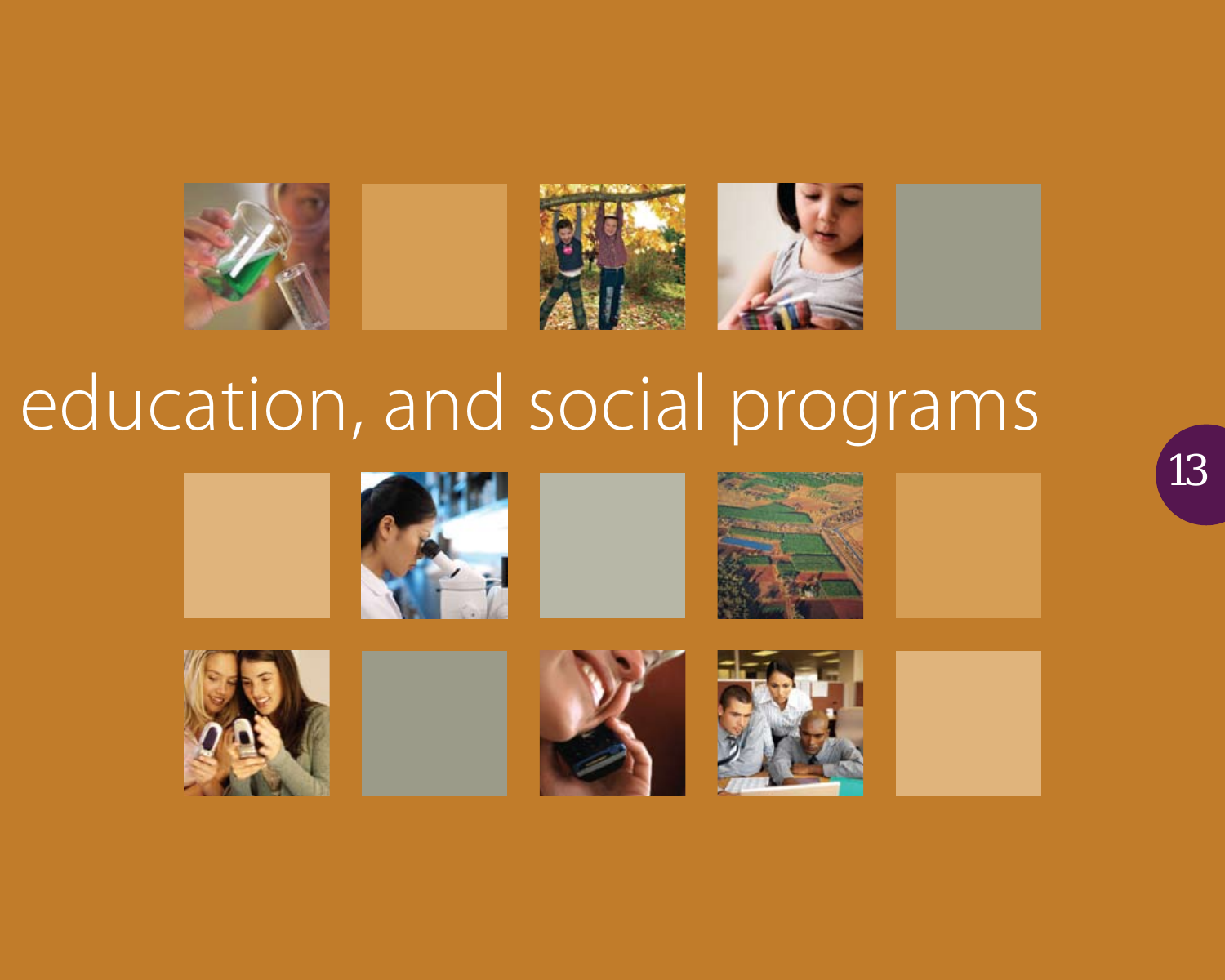

# education, and social programs







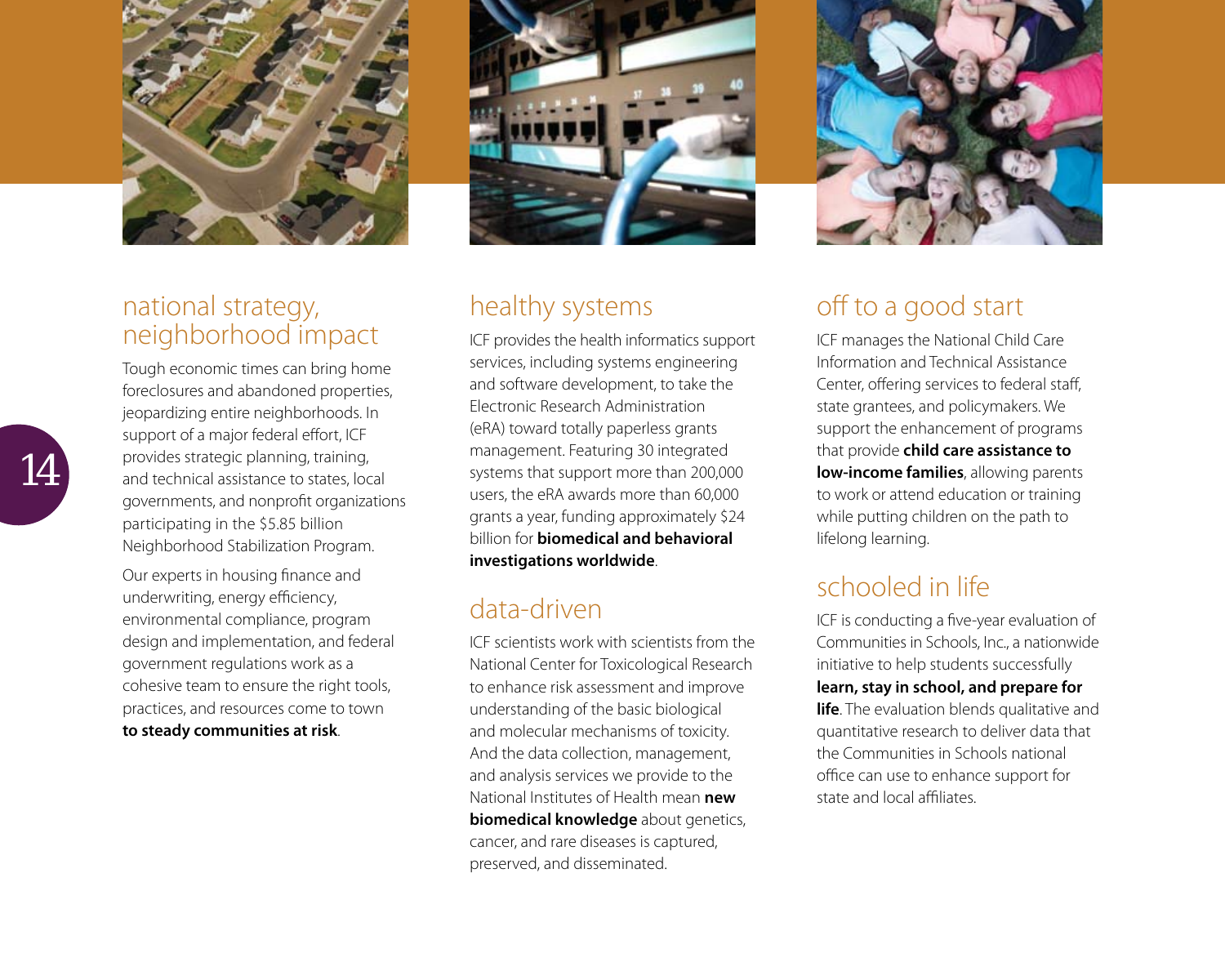

#### national strategy, neighborhood impact

Tough economic times can bring home foreclosures and abandoned properties, jeopardizing entire neighborhoods. In support of a major federal effort, ICF provides strategic planning, training, and technical assistance to states, local governments, and nonprofit organizations participating in the \$5.85 billion Neighborhood Stabilization Program.

Our experts in housing finance and underwriting, energy efficiency, environmental compliance, program design and implementation, and federal government regulations work as a cohesive team to ensure the right tools, practices, and resources come to town **to steady communities at risk**.



#### healthy systems

ICF provides the health informatics support services, including systems engineering and software development, to take the Electronic Research Administration (eRA) toward totally paperless grants management. Featuring 30 integrated systems that support more than 200,000 users, the eRA awards more than 60,000 grants a year, funding approximately \$24 billion for **biomedical and behavioral investigations worldwide**.

#### data-driven

ICF scientists work with scientists from the National Center for Toxicological Research to enhance risk assessment and improve understanding of the basic biological and molecular mechanisms of toxicity. And the data collection, management, and analysis services we provide to the National Institutes of Health mean **new biomedical knowledge** about genetics, cancer, and rare diseases is captured, preserved, and disseminated.



#### off to a good start

ICF manages the National Child Care Information and Technical Assistance Center, offering services to federal staff, state grantees, and policymakers. We support the enhancement of programs that provide **child care assistance to low-income families**, allowing parents to work or attend education or training while putting children on the path to lifelong learning.

#### schooled in life

ICF is conducting a five-year evaluation of Communities in Schools, Inc., a nationwide initiative to help students successfully **learn, stay in school, and prepare for life**. The evaluation blends qualitative and quantitative research to deliver data that the Communities in Schools national office can use to enhance support for state and local affiliates.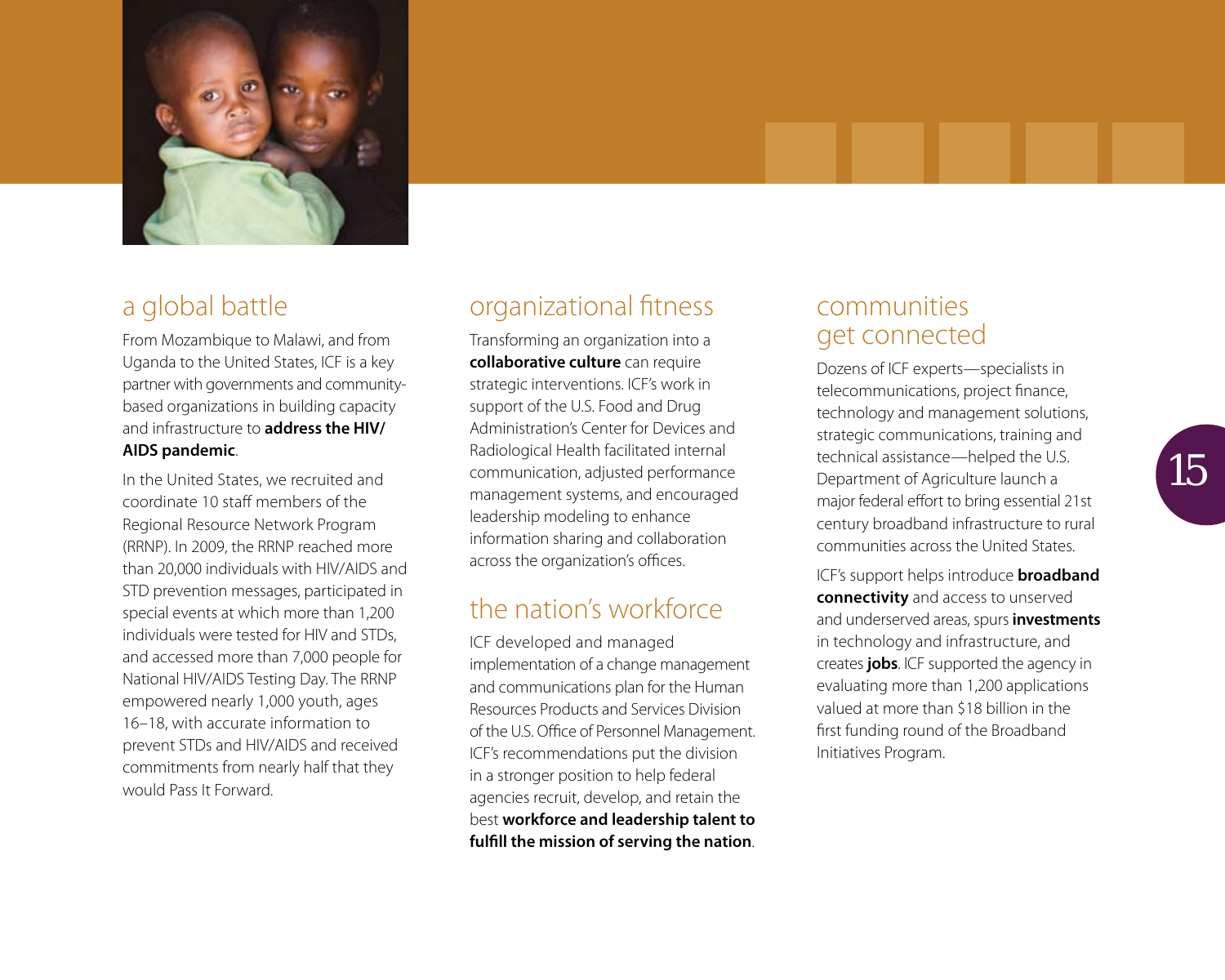

#### a global battle

From Mozambique to Malawi, and from Uganda to the United States, ICF is a key partner with governments and communitybased organizations in building capacity and infrastructure to **address the HIV/ AIDS pandemic**.

In the United States, we recruited and coordinate 10 staff members of the Regional Resource Network Program (RRNP). In 2009, the RRNP reached more than 20,000 individuals with HIV/AIDS and STD prevention messages, participated in special events at which more than 1,200 individuals were tested for HIV and STDs, and accessed more than 7,000 people for National HIV/AIDS Testing Day. The RRNP empowered nearly 1,000 youth, ages 16–18, with accurate information to prevent STDs and HIV/AIDS and received commitments from nearly half that they would Pass It Forward.

#### organizational fitness

Transforming an organization into a **collaborative culture** can require strategic interventions. ICF's work in support of the U.S. Food and Drug Administration's Center for Devices and Radiological Health facilitated internal communication, adjusted performance management systems, and encouraged leadership modeling to enhance information sharing and collaboration across the organization's offices.

#### the nation's workforce

ICF developed and managed implementation of a change management and communications plan for the Human Resources Products and Services Division of the U.S. Office of Personnel Management. ICF's recommendations put the division in a stronger position to help federal agencies recruit, develop, and retain the best **workforce and leadership talent to fulfill the mission of serving the nation**.

#### communities get connected

Dozens of ICF experts—specialists in telecommunications, project finance, technology and management solutions, strategic communications, training and technical assistance—helped the U.S. Department of Agriculture launch a major federal effort to bring essential 21st century broadband infrastructure to rural communities across the United States.

ICF's support helps introduce **broadband connectivity** and access to unserved and underserved areas, spurs **investments** in technology and infrastructure, and creates **jobs**. ICF supported the agency in evaluating more than 1,200 applications valued at more than \$18 billion in the first funding round of the Broadband Initiatives Program.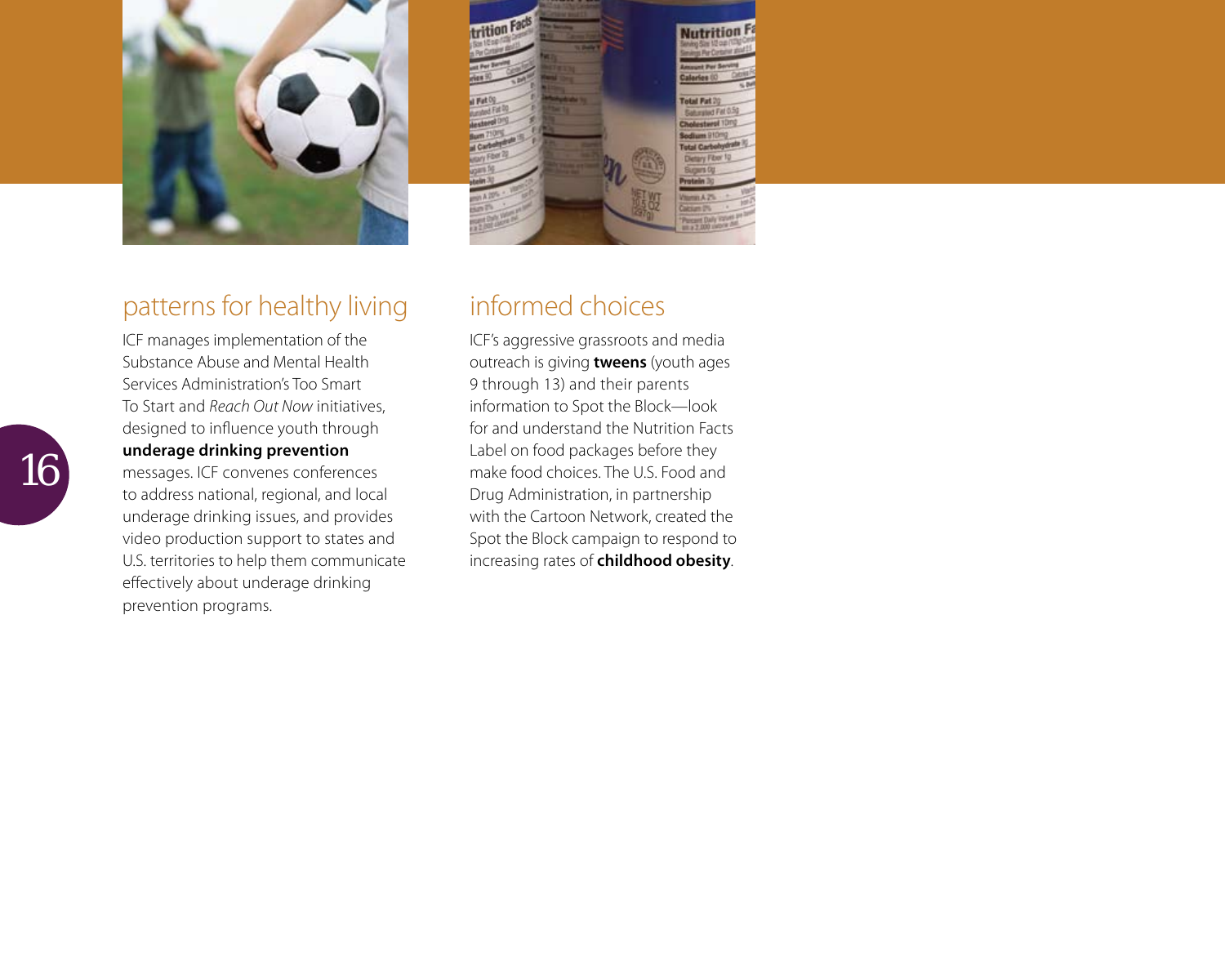

#### patterns for healthy living

ICF manages implementation of the Substance Abuse and Mental Health Services Administration's Too Smart To Start and *Reach Out Now* initiatives, designed to influence youth through **underage drinking prevention** messages. ICF convenes conferences to address national, regional, and local underage drinking issues, and provides video production support to states and

U.S. territories to help them communicate effectively about underage drinking prevention programs.



#### informed choices

ICF's aggressive grassroots and media outreach is giving **tweens** (youth ages 9 through 13) and their parents information to Spot the Block—look for and understand the Nutrition Facts Label on food packages before they make food choices. The U.S. Food and Drug Administration, in partnership with the Cartoon Network, created the Spot the Block campaign to respond to increasing rates of **childhood obesity**.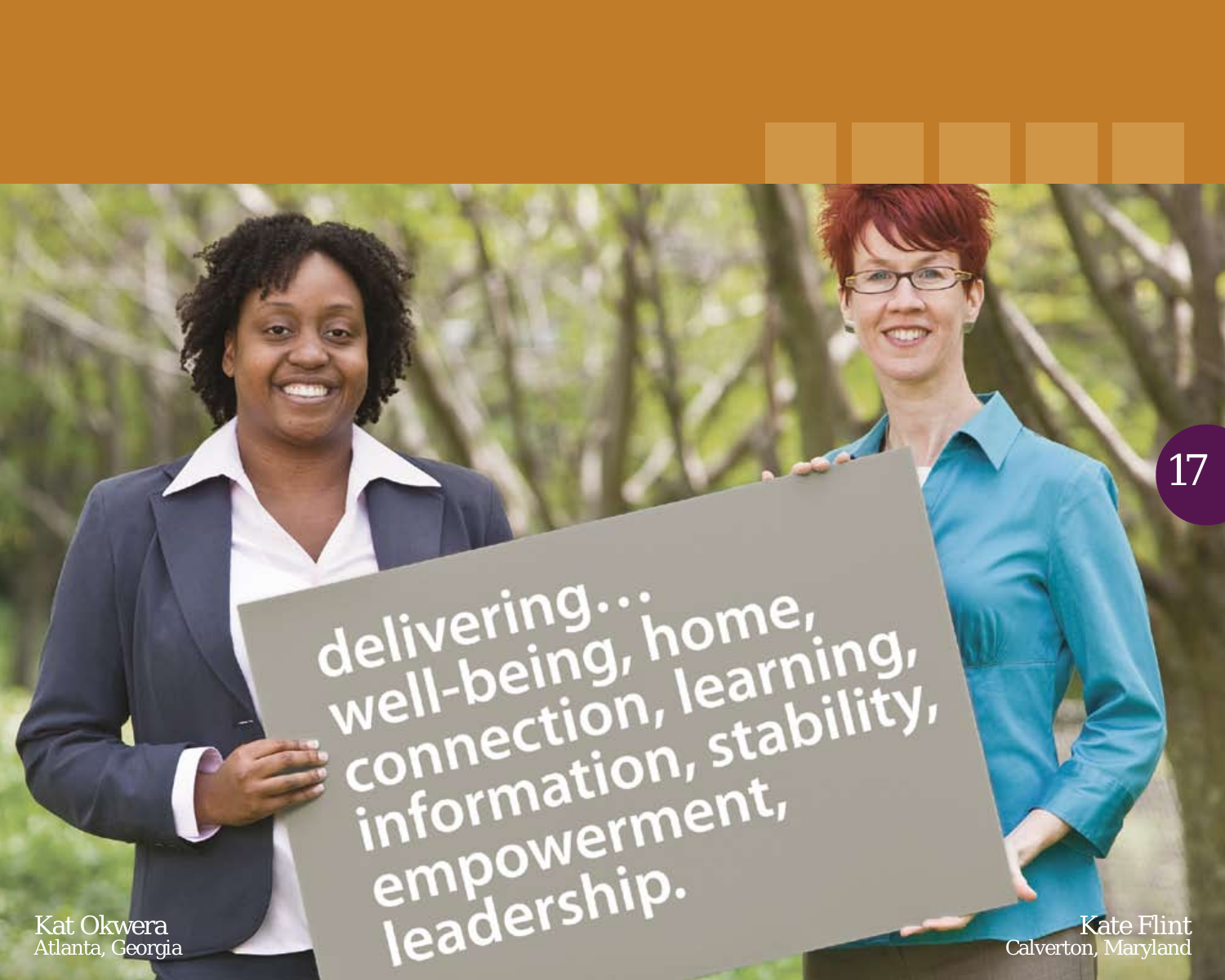Kat Okwera Atlanta, Georgia

Kate Flint Calverton, Maryland

17

delivering, home,<br>well-being, home,<br>well-being, learning,<br>connection, stability,<br>information, stability,<br>information, stability,<br>empowerment,<br>leadership.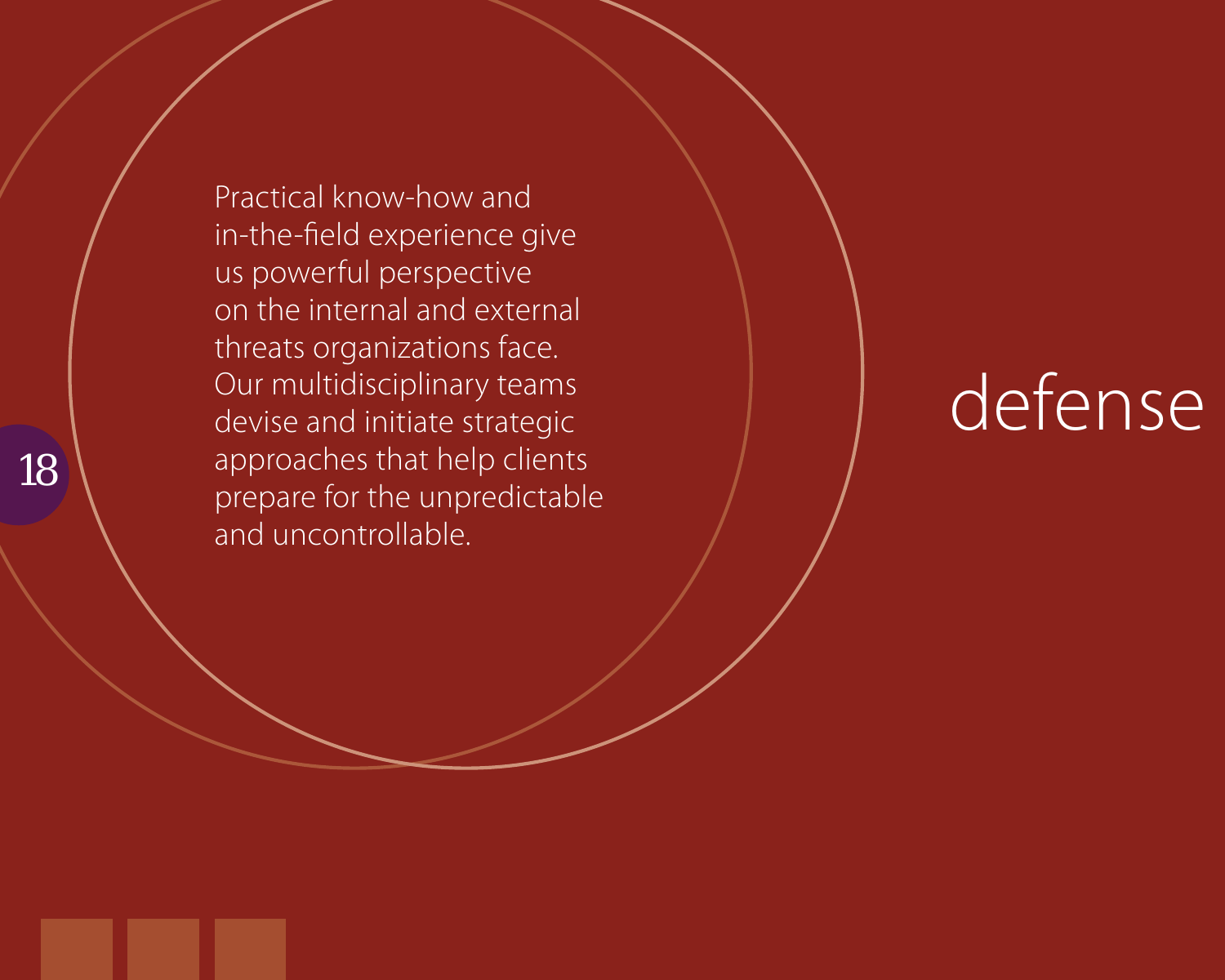Practical know-how and in-the-field experience give us powerful perspective on the internal and external threats organizations face. Our multidisciplinary teams devise and initiate strategic approaches that help clients prepare for the unpredictable and uncontrollable.

# defense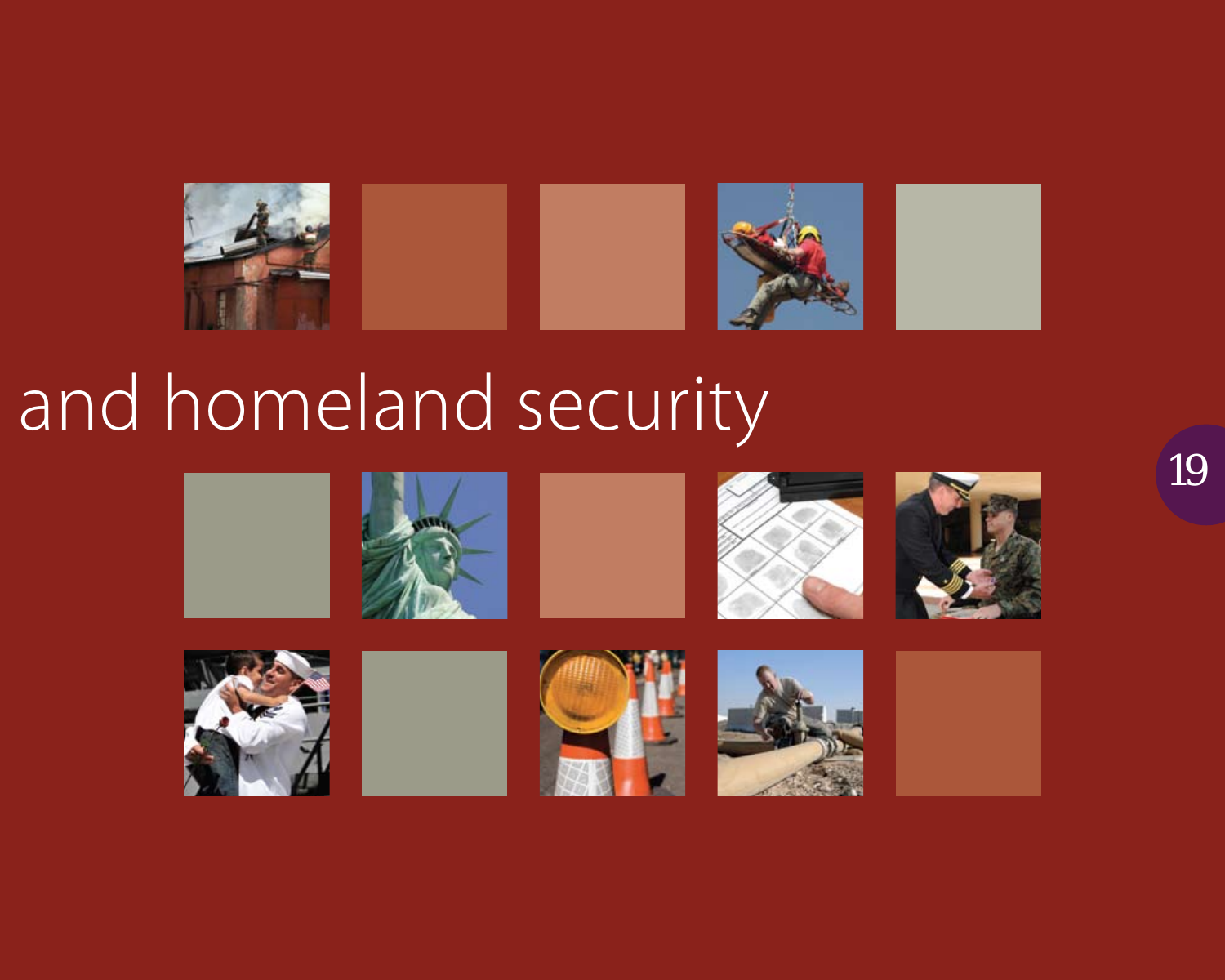

# and homeland security



19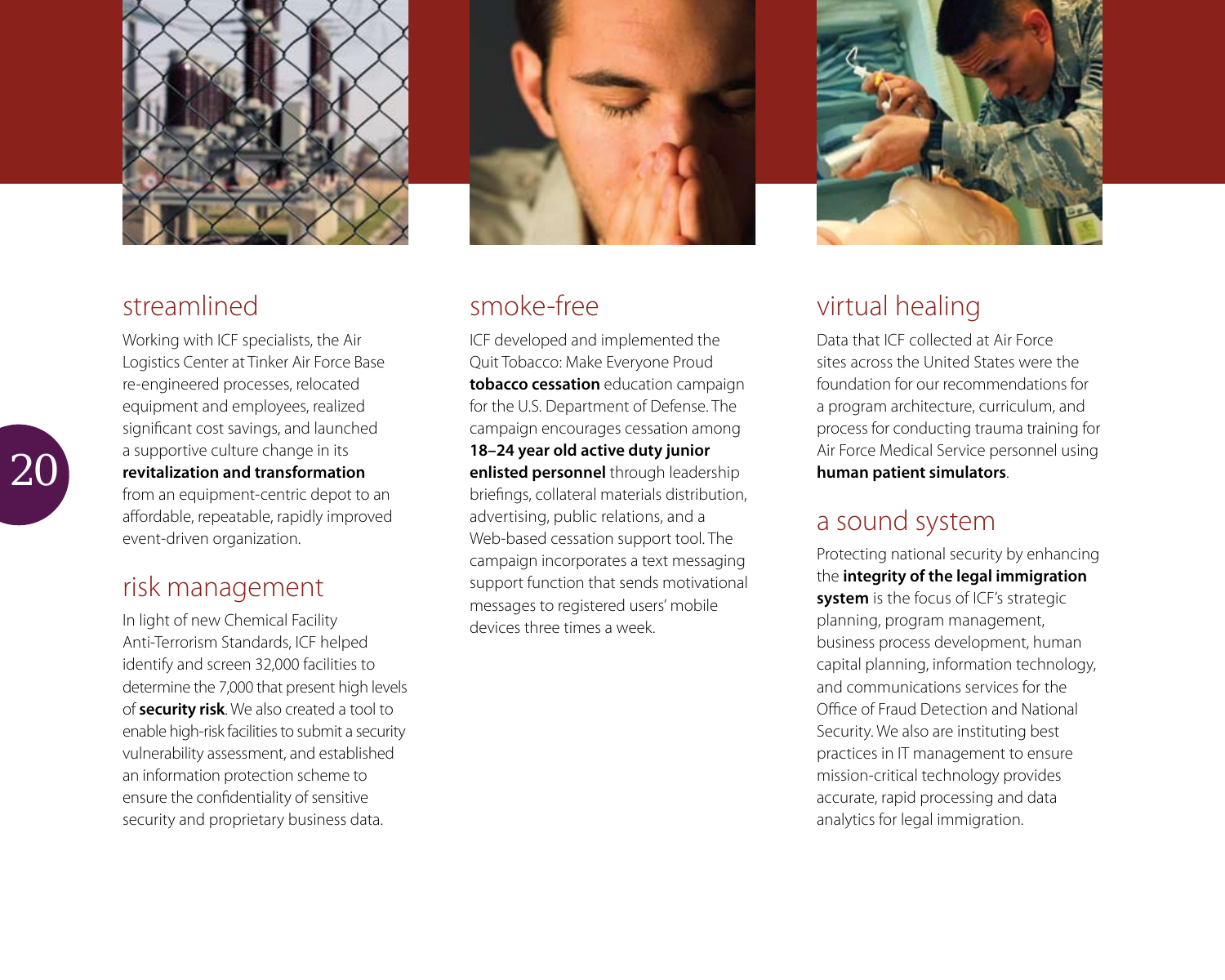

#### streamlined

Working with ICF specialists, the Air Logistics Center at Tinker Air Force Base re-engineered processes, relocated equipment and employees, realized significant cost savings, and launched a supportive culture change in its **revitalization and transformation** from an equipment-centric depot to an affordable, repeatable, rapidly improved event-driven organization.

#### risk management

In light of new Chemical Facility Anti-Terrorism Standards, ICF helped identify and screen 32,000 facilities to determine the 7,000 that present high levels of **security risk**. We also created a tool to enable high-risk facilities to submit a security vulnerability assessment, and established an information protection scheme to ensure the confidentiality of sensitive security and proprietary business data.



#### smoke-free

ICF developed and implemented the Quit Tobacco: Make Everyone Proud **tobacco cessation** education campaign for the U.S. Department of Defense. The campaign encourages cessation among **18–24 year old active duty junior enlisted personnel** through leadership briefings, collateral materials distribution, advertising, public relations, and a Web-based cessation support tool. The campaign incorporates a text messaging support function that sends motivational messages to registered users' mobile devices three times a week.



#### virtual healing

Data that ICF collected at Air Force sites across the United States were the foundation for our recommendations for a program architecture, curriculum, and process for conducting trauma training for Air Force Medical Service personnel using **human patient simulators**.

#### a sound system

Protecting national security by enhancing the **integrity of the legal immigration system** is the focus of ICF's strategic planning, program management, business process development, human capital planning, information technology, and communications services for the Office of Fraud Detection and National Security. We also are instituting best practices in IT management to ensure mission-critical technology provides accurate, rapid processing and data analytics for legal immigration.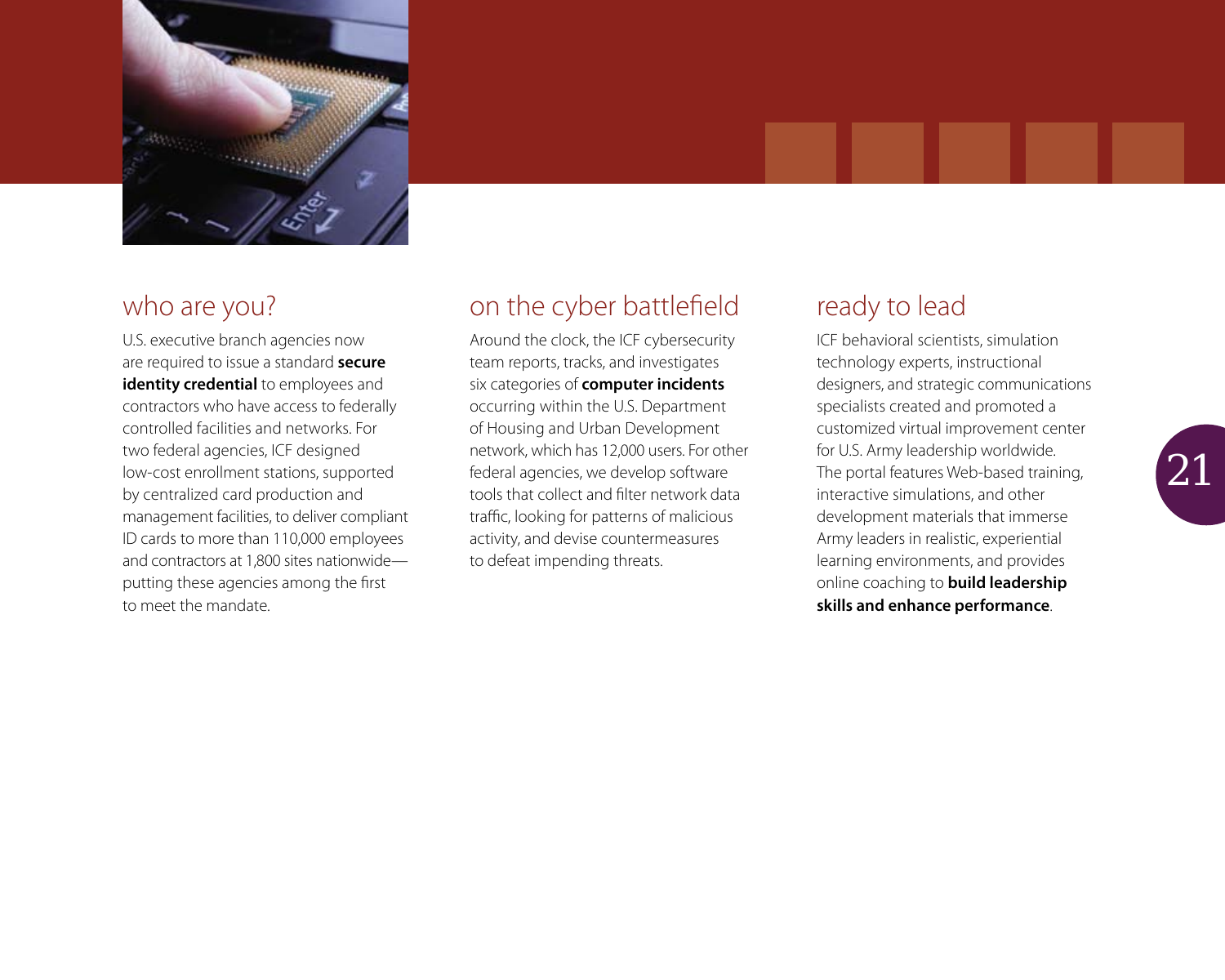

#### who are you?

U.S. executive branch agencies now are required to issue a standard **secure identity credential** to employees and contractors who have access to federally controlled facilities and networks. For two federal agencies, ICF designed low-cost enrollment stations, supported by centralized card production and management facilities, to deliver compliant ID cards to more than 110,000 employees and contractors at 1,800 sites nationwide putting these agencies among the first to meet the mandate.

#### on the cyber battlefield

Around the clock, the ICF cybersecurity team reports, tracks, and investigates six categories of **computer incidents** occurring within the U.S. Department of Housing and Urban Development network, which has 12,000 users. For other federal agencies, we develop software tools that collect and filter network data traffic, looking for patterns of malicious activity, and devise countermeasures to defeat impending threats.

#### ready to lead

ICF behavioral scientists, simulation technology experts, instructional designers, and strategic communications specialists created and promoted a customized virtual improvement center for U.S. Army leadership worldwide. The portal features Web-based training, interactive simulations, and other development materials that immerse Army leaders in realistic, experiential learning environments, and provides online coaching to **build leadership skills and enhance performance**.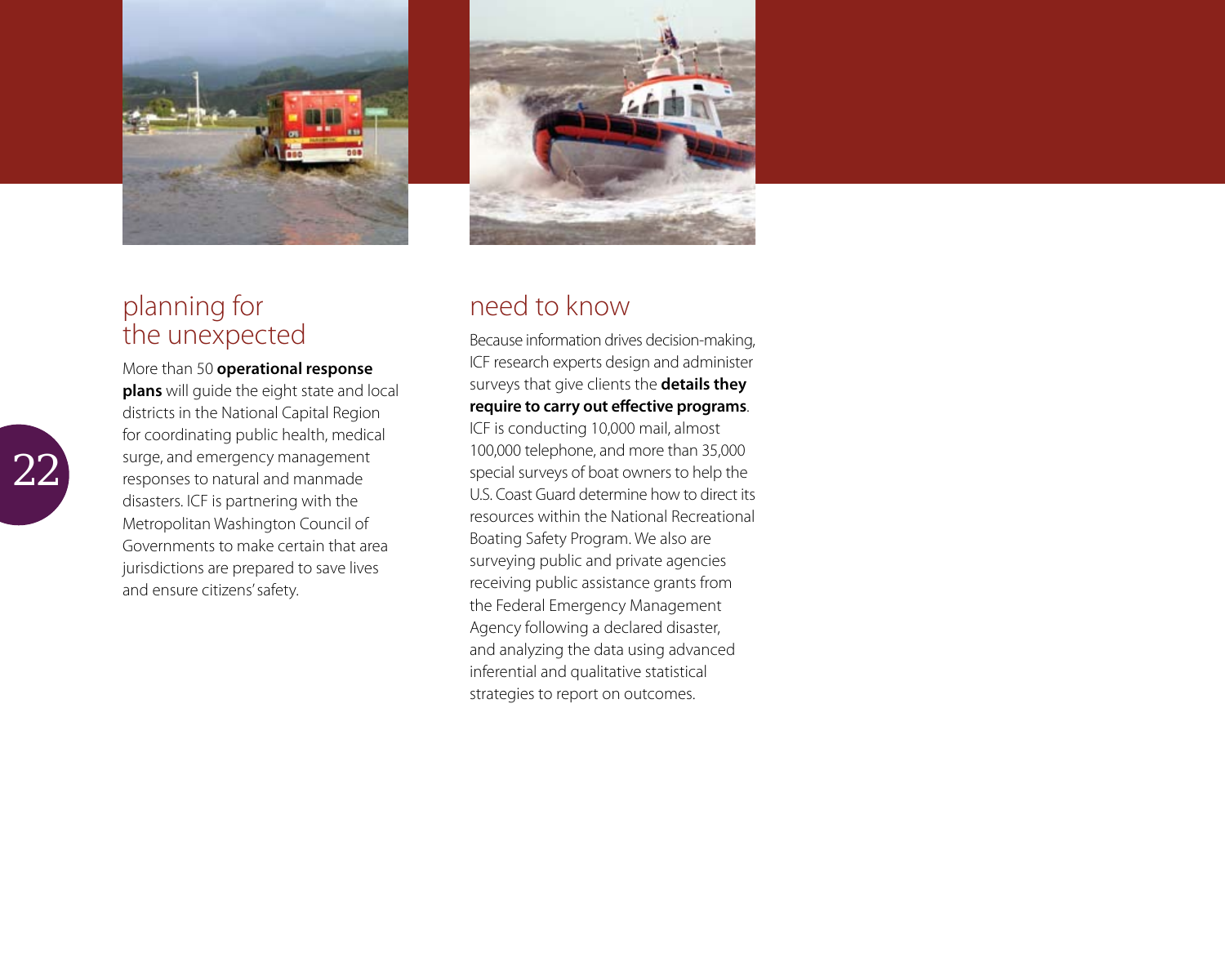

#### planning for the unexpected

More than 50 **operational response plans** will guide the eight state and local districts in the National Capital Region for coordinating public health, medical surge, and emergency management responses to natural and manmade disasters. ICF is partnering with the Metropolitan Washington Council of Governments to make certain that area jurisdictions are prepared to save lives and ensure citizens' safety.



#### need to know

Because information drives decision-making, ICF research experts design and administer surveys that give clients the **details they require to carry out effective programs**. ICF is conducting 10,000 mail, almost 100,000 telephone, and more than 35,000 special surveys of boat owners to help the U.S. Coast Guard determine how to direct its resources within the National Recreational Boating Safety Program. We also are surveying public and private agencies receiving public assistance grants from the Federal Emergency Management Agency following a declared disaster, and analyzing the data using advanced inferential and qualitative statistical strategies to report on outcomes.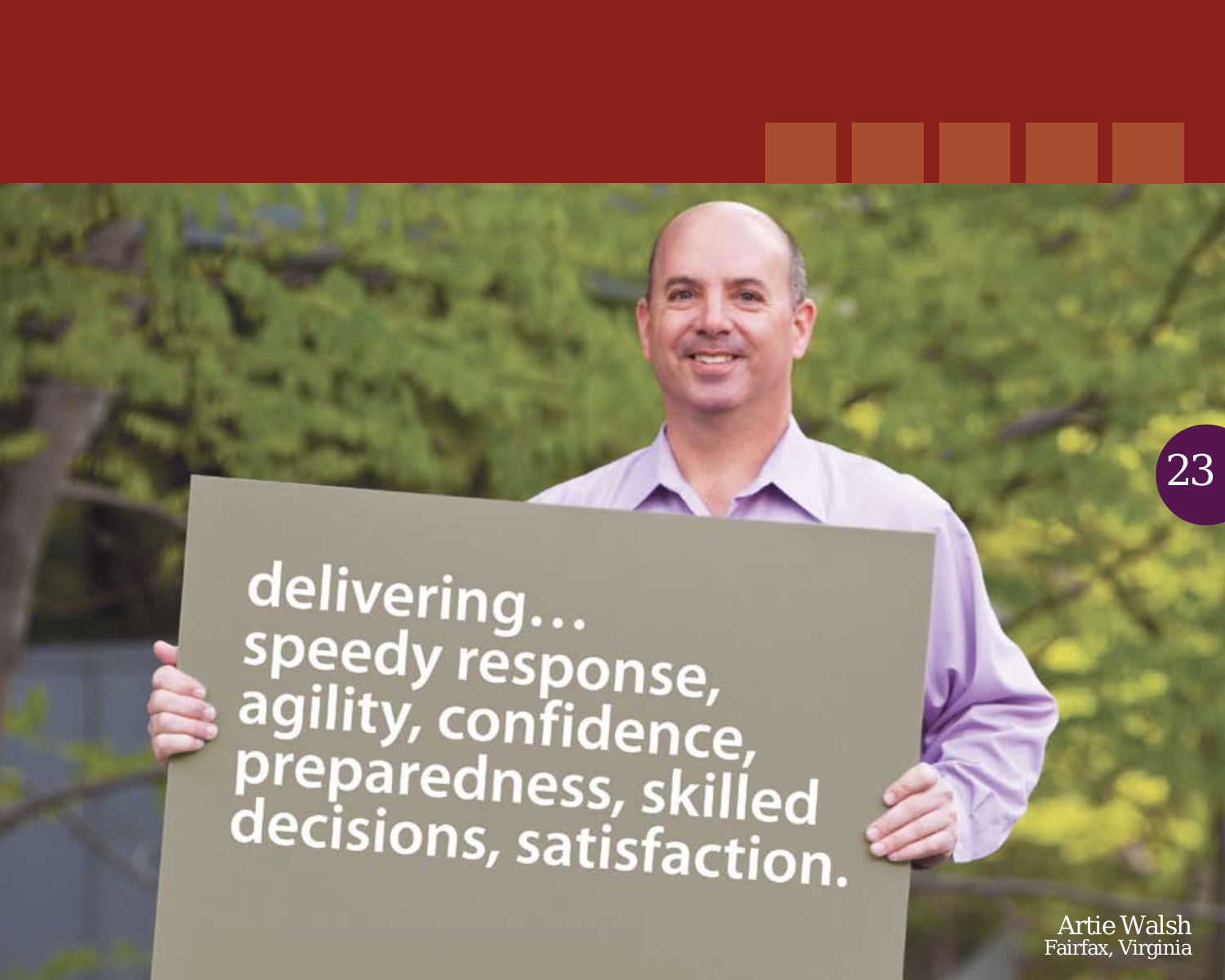delivering...<br>speedy response,<br>agility, confidence,<br>preparedness, skilled<br>decisions, satisfaction.

Artie Walsh Fairfax, Virginia

23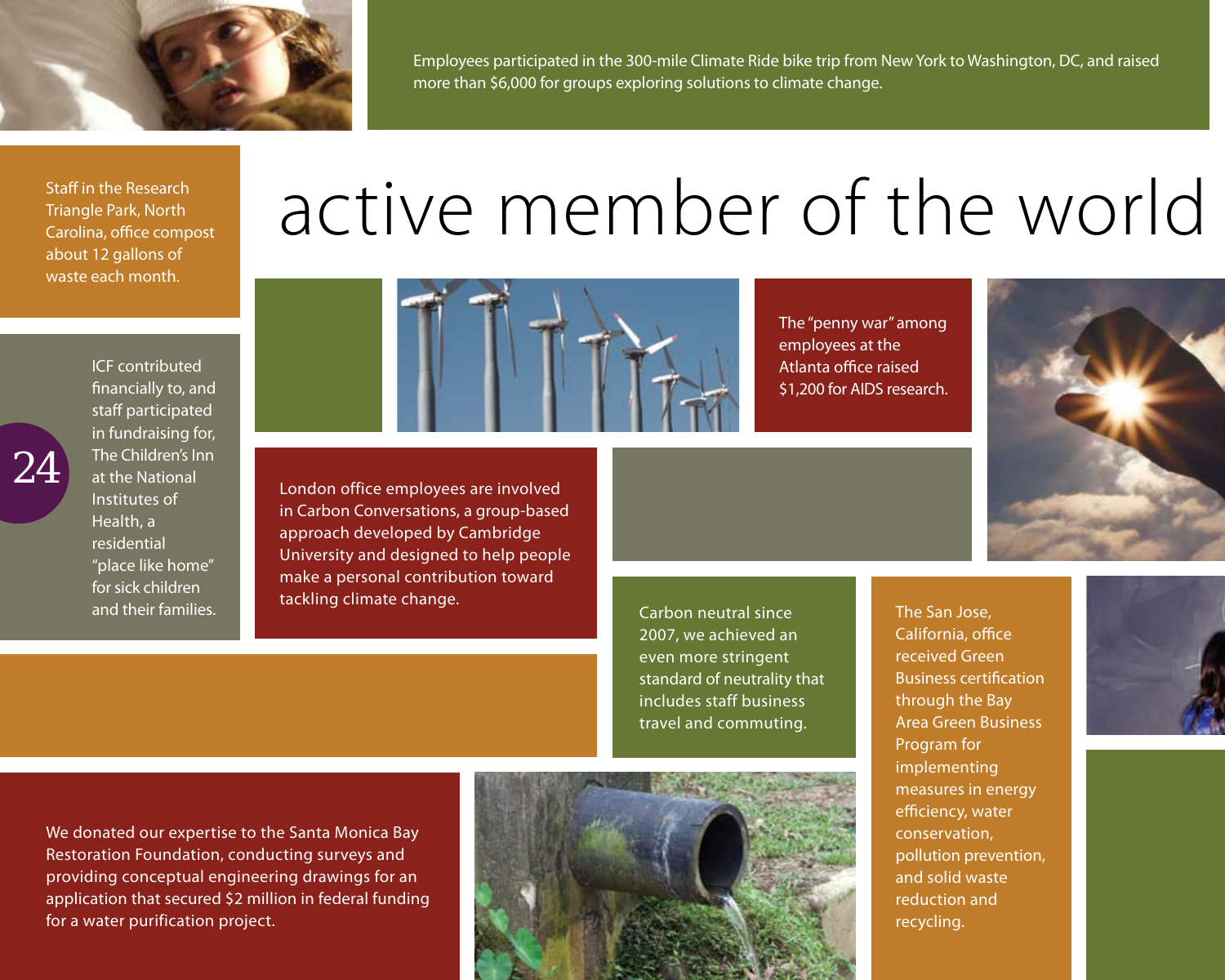

Employees participated in the 300-mile Climate Ride bike trip from New York to Washington, DC, and raised more than \$6,000 for groups exploring solutions to climate change.

Staff in the Research Triangle Park, North Carolina, office compost about 12 gallons of waste each month.

> financially to, and staff participated in fundraising for, The Children's Inn at the National Institutes of Health, a residential "place like home" for sick children and their families.

24

ICF contributed

# active member of the world



London office employees are involved in Carbon Conversations, a group-based approach developed by Cambridge University and designed to help people make a personal contribution toward tackling climate change.

The "penny war" among employees at the Atlanta office raised \$1,200 for AIDS research.



Carbon neutral since 2007, we achieved an even more stringent standard of neutrality that includes staff business travel and commuting.

The San Jose, California, office received Green Business certification through the Bay Area Green Business Program for implementing measures in energy efficiency, water conservation, pollution prevention, and solid waste reduction and recycling.



We donated our expertise to the Santa Monica Bay Restoration Foundation, conducting surveys and providing conceptual engineering drawings for an application that secured \$2 million in federal funding for a water purification project.

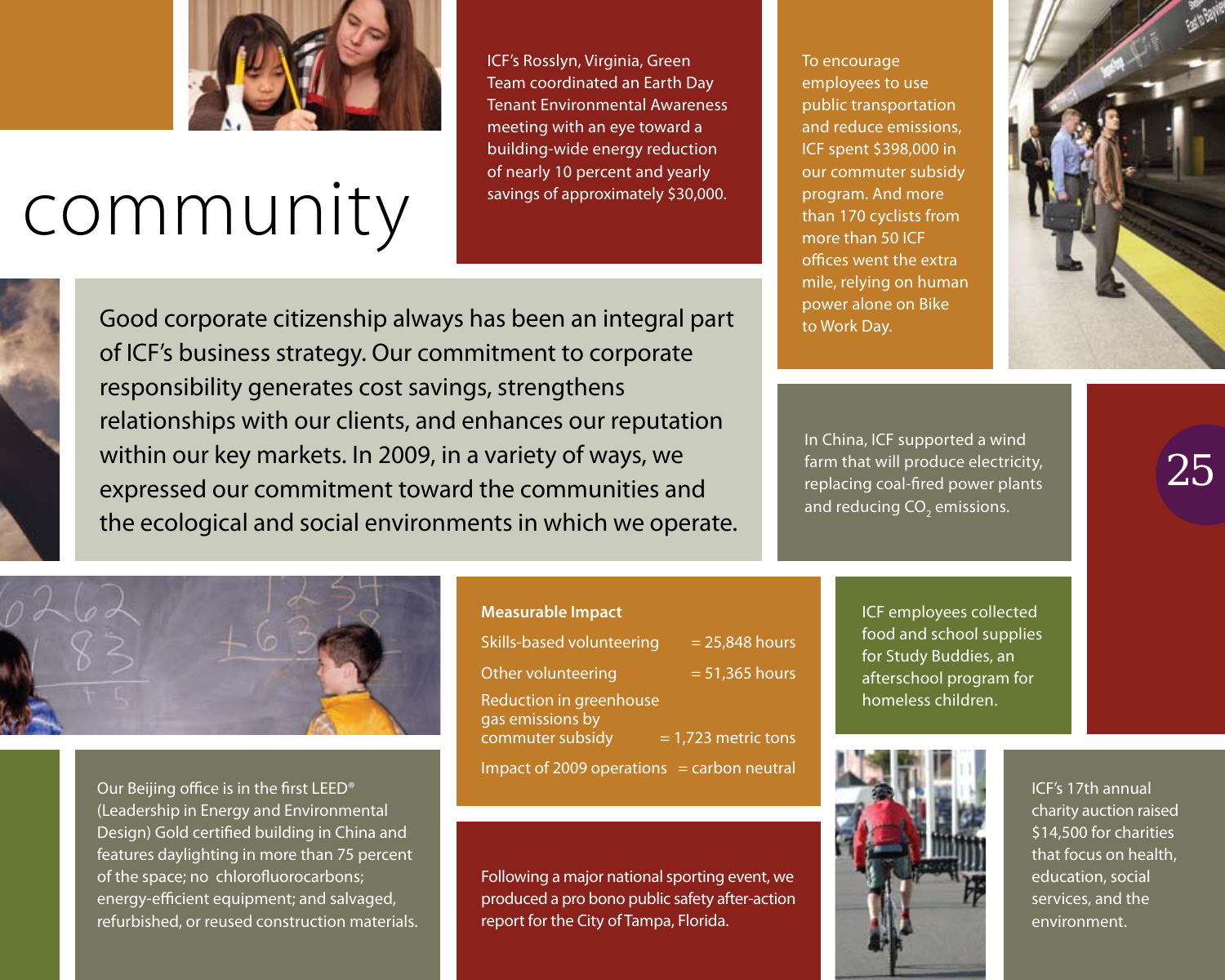

# community savings of approximately \$30,000.

ICF's Rosslyn, Virginia, Green Team coordinated an Earth Day Tenant Environmental Awareness meeting with an eye toward a building-wide energy reduction of nearly 10 percent and yearly

To encourage employees to use public transportation and reduce emissions, ICF spent \$398,000 in our commuter subsidy program. And more than 170 cyclists from more than 50 ICF offices went the extra mile, relying on human power alone on Bike to Work Day.

Good corporate citizenship always has been an integral part of ICF's business strategy. Our commitment to corporate responsibility generates cost savings, strengthens relationships with our clients, and enhances our reputation within our key markets. In 2009, in a variety of ways, we expressed our commitment toward the communities and the ecological and social environments in which we operate.



Our Beijing office is in the first LEED® (Leadership in Energy and Environmental Design) Gold certified building in China and features daylighting in more than 75 percent of the space; no chlorofluorocarbons; energy-efficient equipment; and salvaged, refurbished, or reused construction materials.

#### **Measurable Impact** Skills-based volunteering  $= 25,848$  hours Other volunteering  $= 51,365$  hours

Reduction in greenhouse gas emissions by commuter subsidy  $= 1,723$  metric tons

Impact of 2009 operations  $=$  carbon neutral

Following a major national sporting event, we produced a pro bono public safety after-action report for the City of Tampa, Florida.

In China, ICF supported a wind farm that will produce electricity,

replacing coal-fired power plants and reducing CO<sub>2</sub> emissions.

25

ICF employees collected food and school supplies for Study Buddies, an afterschool program for homeless children.



ICF's 17th annual charity auction raised \$14,500 for charities that focus on health, education, social services, and the environment.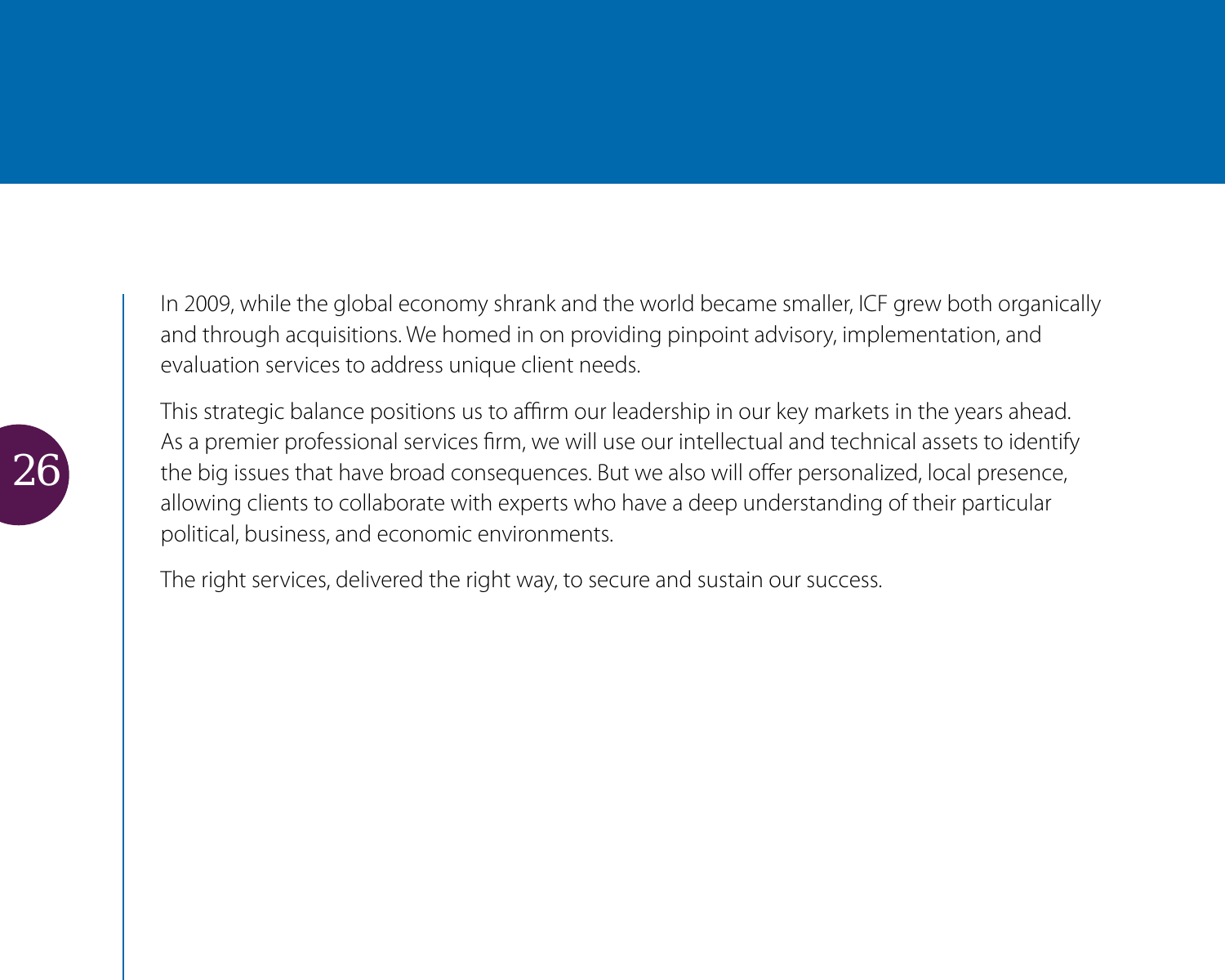In 2009, while the global economy shrank and the world became smaller, ICF grew both organically and through acquisitions. We homed in on providing pinpoint advisory, implementation, and evaluation services to address unique client needs.

This strategic balance positions us to affirm our leadership in our key markets in the years ahead. As a premier professional services firm, we will use our intellectual and technical assets to identify the big issues that have broad consequences. But we also will offer personalized, local presence, allowing clients to collaborate with experts who have a deep understanding of their particular political, business, and economic environments.

The right services, delivered the right way, to secure and sustain our success.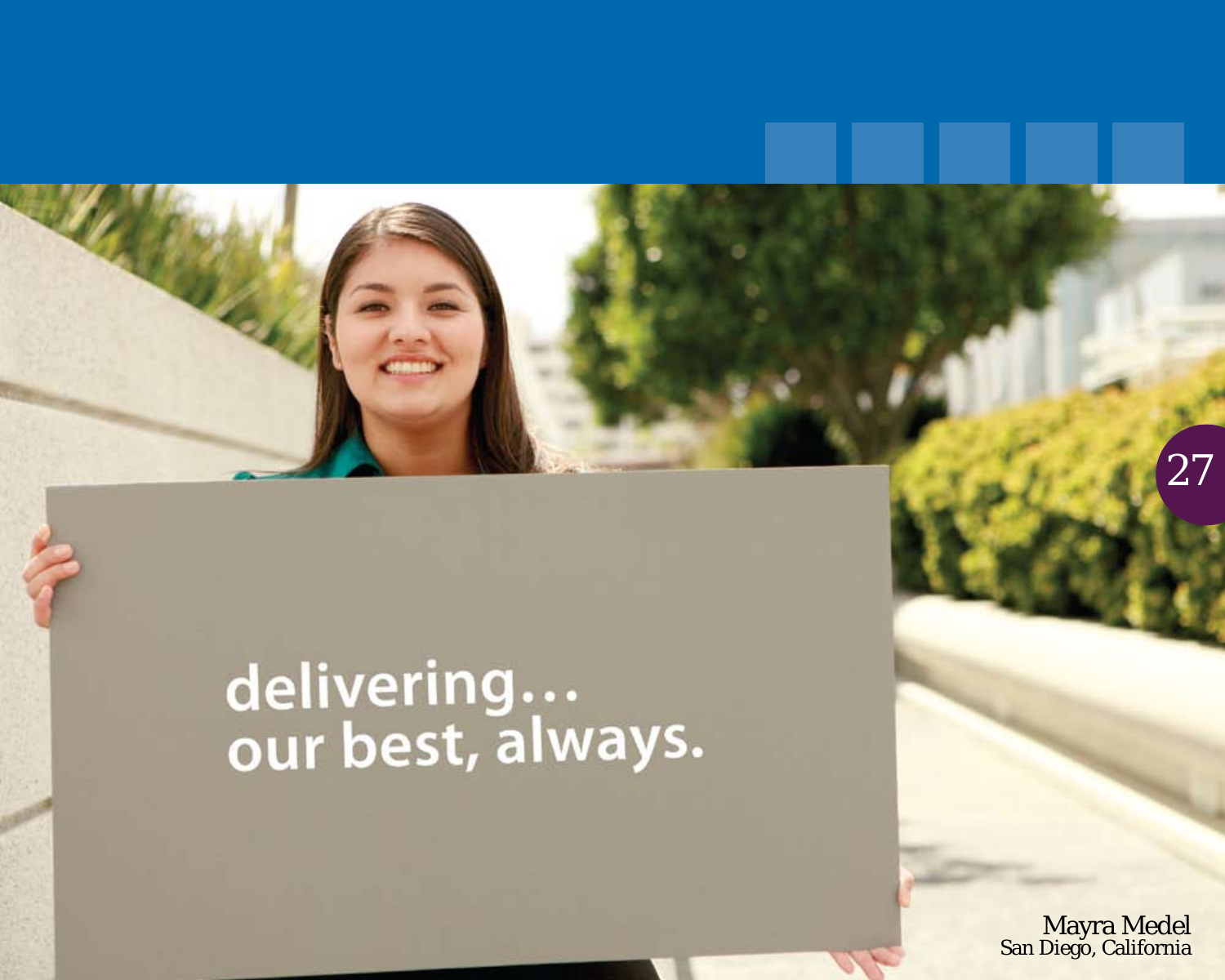# delivering...<br>our best, always.

Mayra Medel San Diego, California

27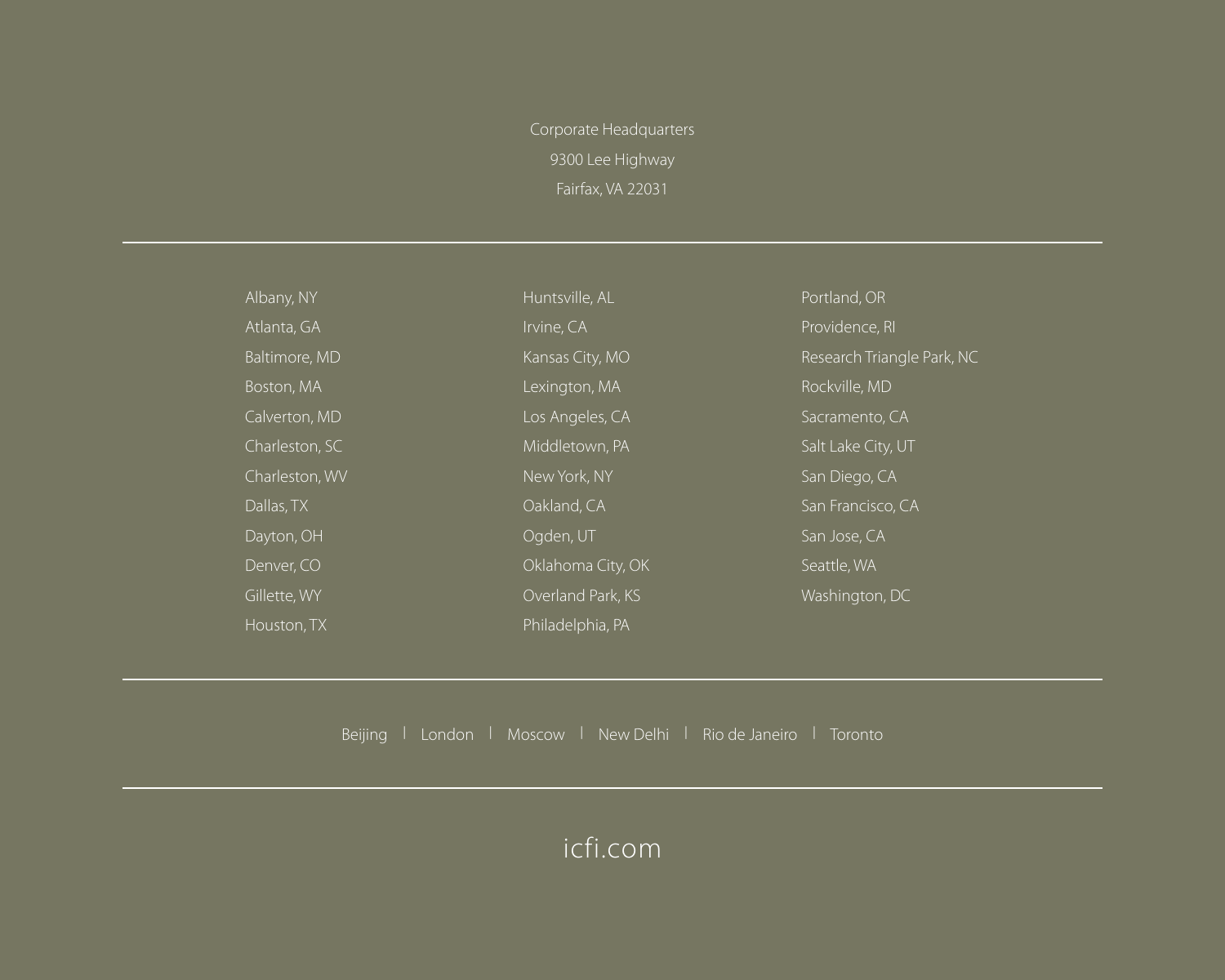#### Corporate Headquarters 9300 Lee Highway Fairfax, VA 22031

| Albany, NY     | Huntsville, AL    | Portland, OR               |
|----------------|-------------------|----------------------------|
| Atlanta, GA    | Irvine, CA        | Providence, RI             |
| Baltimore, MD  | Kansas City, MO   | Research Triangle Park, NC |
| Boston, MA     | Lexington, MA     | Rockville, MD              |
| Calverton, MD  | Los Angeles, CA   | Sacramento, CA             |
| Charleston, SC | Middletown, PA    | Salt Lake City, UT         |
| Charleston, WV | New York, NY      | San Diego, CA              |
| Dallas, TX     | Oakland, CA       | San Francisco, CA          |
| Dayton, OH     | Ogden, UT         | San Jose, CA               |
| Denver, CO     | Oklahoma City, OK | Seattle, WA                |
| Gillette, WY   | Overland Park, KS | Washington, DC             |
| Houston, TX    | Philadelphia, PA  |                            |

Beijing | London | Moscow | New Delhi | Rio de Janeiro | Toronto

icfi.com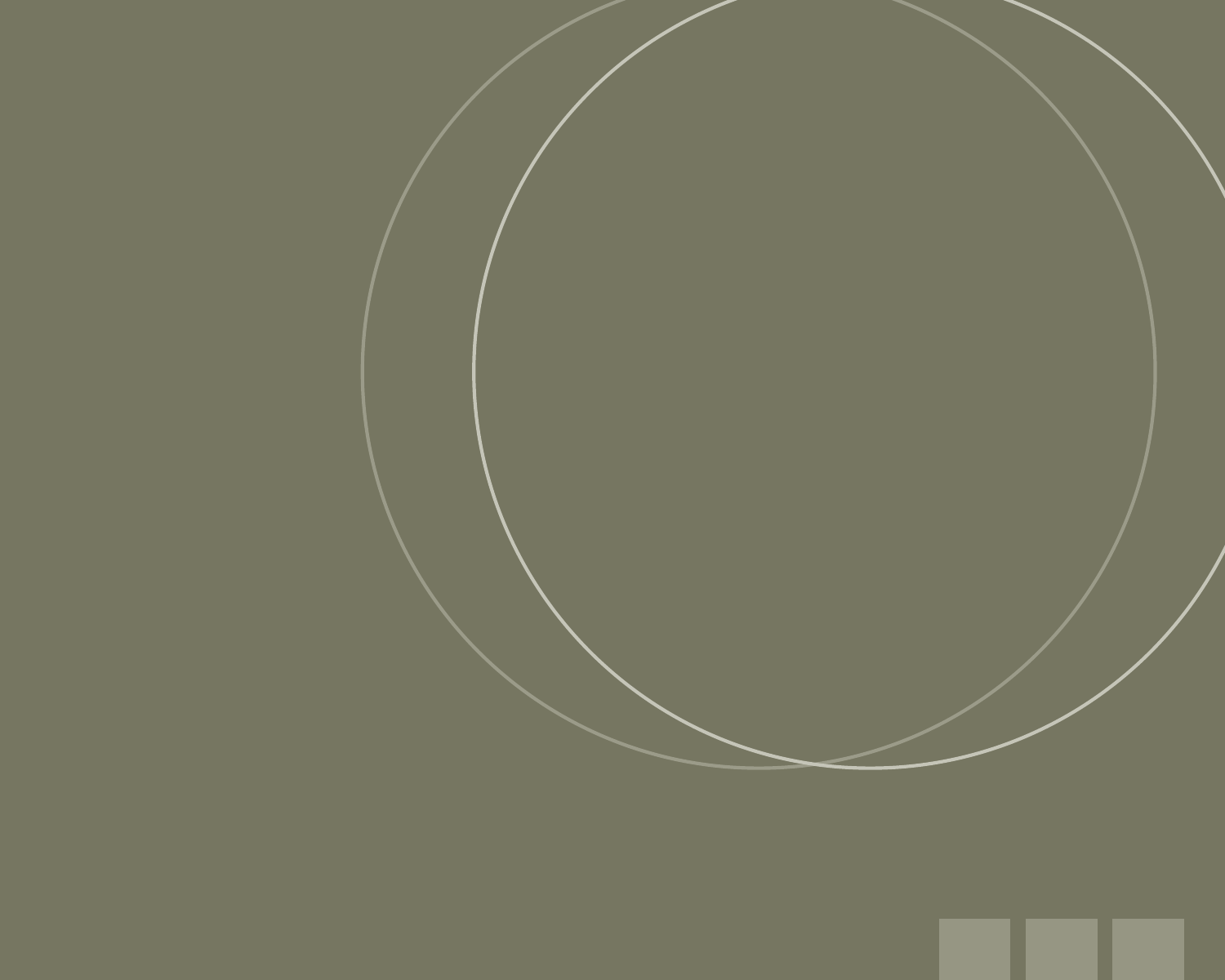